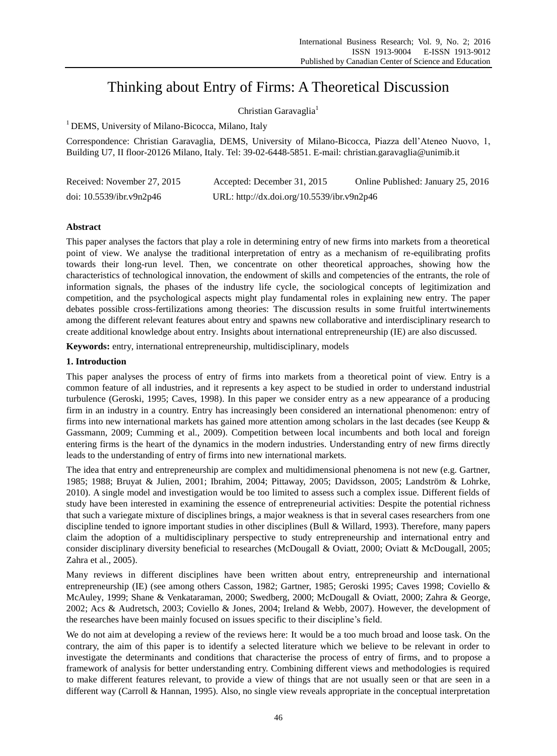# Thinking about Entry of Firms: A Theoretical Discussion

Christian Garavaglia<sup>1</sup>

<sup>1</sup> DEMS, University of Milano-Bicocca, Milano, Italy

Correspondence: Christian Garavaglia, DEMS, University of Milano-Bicocca, Piazza dell'Ateneo Nuovo, 1, Building U7, II floor-20126 Milano, Italy. Tel: 39-02-6448-5851. E-mail: christian.garavaglia@unimib.it

| Received: November 27, 2015 | Accepted: December 31, 2015                | Online Published: January 25, 2016 |
|-----------------------------|--------------------------------------------|------------------------------------|
| doi: 10.5539/ibr.v9n2p46    | URL: http://dx.doi.org/10.5539/ibr.v9n2p46 |                                    |

# **Abstract**

This paper analyses the factors that play a role in determining entry of new firms into markets from a theoretical point of view. We analyse the traditional interpretation of entry as a mechanism of re-equilibrating profits towards their long-run level. Then, we concentrate on other theoretical approaches, showing how the characteristics of technological innovation, the endowment of skills and competencies of the entrants, the role of information signals, the phases of the industry life cycle, the sociological concepts of legitimization and competition, and the psychological aspects might play fundamental roles in explaining new entry. The paper debates possible cross-fertilizations among theories: The discussion results in some fruitful intertwinements among the different relevant features about entry and spawns new collaborative and interdisciplinary research to create additional knowledge about entry. Insights about international entrepreneurship (IE) are also discussed.

**Keywords:** entry, international entrepreneurship, multidisciplinary, models

# **1. Introduction**

This paper analyses the process of entry of firms into markets from a theoretical point of view. Entry is a common feature of all industries, and it represents a key aspect to be studied in order to understand industrial turbulence (Geroski, 1995; Caves, 1998). In this paper we consider entry as a new appearance of a producing firm in an industry in a country. Entry has increasingly been considered an international phenomenon: entry of firms into new international markets has gained more attention among scholars in the last decades (see Keupp & Gassmann, 2009; Cumming et al., 2009). Competition between local incumbents and both local and foreign entering firms is the heart of the dynamics in the modern industries. Understanding entry of new firms directly leads to the understanding of entry of firms into new international markets.

The idea that entry and entrepreneurship are complex and multidimensional phenomena is not new (e.g. Gartner, 1985; 1988; Bruyat & Julien, 2001; Ibrahim, 2004; Pittaway, 2005; Davidsson, 2005; Landström & Lohrke, 2010). A single model and investigation would be too limited to assess such a complex issue. Different fields of study have been interested in examining the essence of entrepreneurial activities: Despite the potential richness that such a variegate mixture of disciplines brings, a major weakness is that in several cases researchers from one discipline tended to ignore important studies in other disciplines (Bull & Willard, 1993). Therefore, many papers claim the adoption of a multidisciplinary perspective to study entrepreneurship and international entry and consider disciplinary diversity beneficial to researches (McDougall & Oviatt, 2000; Oviatt & McDougall, 2005; Zahra et al., 2005).

Many reviews in different disciplines have been written about entry, entrepreneurship and international entrepreneurship (IE) (see among others Casson, 1982; Gartner, 1985; Geroski 1995; Caves 1998; Coviello & McAuley, 1999; Shane & Venkataraman, 2000; Swedberg, 2000; McDougall & Oviatt, 2000; Zahra & George, 2002; Acs & Audretsch, 2003; Coviello & Jones, 2004; Ireland & Webb, 2007). However, the development of the researches have been mainly focused on issues specific to their discipline's field.

We do not aim at developing a review of the reviews here: It would be a too much broad and loose task. On the contrary, the aim of this paper is to identify a selected literature which we believe to be relevant in order to investigate the determinants and conditions that characterise the process of entry of firms, and to propose a framework of analysis for better understanding entry. Combining different views and methodologies is required to make different features relevant, to provide a view of things that are not usually seen or that are seen in a different way (Carroll & Hannan, 1995). Also, no single view reveals appropriate in the conceptual interpretation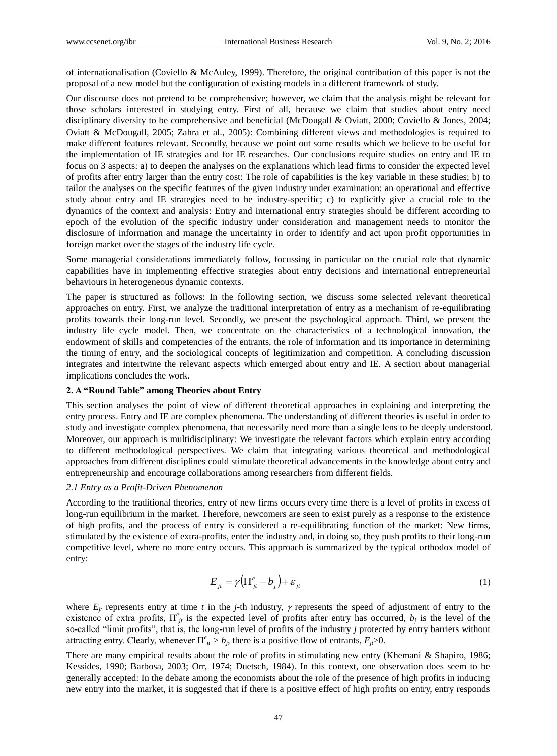of internationalisation (Coviello & McAuley, 1999). Therefore, the original contribution of this paper is not the proposal of a new model but the configuration of existing models in a different framework of study.

Our discourse does not pretend to be comprehensive; however, we claim that the analysis might be relevant for those scholars interested in studying entry. First of all, because we claim that studies about entry need disciplinary diversity to be comprehensive and beneficial (McDougall & Oviatt, 2000; Coviello & Jones, 2004; Oviatt & McDougall, 2005; Zahra et al., 2005): Combining different views and methodologies is required to make different features relevant. Secondly, because we point out some results which we believe to be useful for the implementation of IE strategies and for IE researches. Our conclusions require studies on entry and IE to focus on 3 aspects: a) to deepen the analyses on the explanations which lead firms to consider the expected level of profits after entry larger than the entry cost: The role of capabilities is the key variable in these studies; b) to tailor the analyses on the specific features of the given industry under examination: an operational and effective study about entry and IE strategies need to be industry-specific; c) to explicitly give a crucial role to the dynamics of the context and analysis: Entry and international entry strategies should be different according to epoch of the evolution of the specific industry under consideration and management needs to monitor the disclosure of information and manage the uncertainty in order to identify and act upon profit opportunities in foreign market over the stages of the industry life cycle.

Some managerial considerations immediately follow, focussing in particular on the crucial role that dynamic capabilities have in implementing effective strategies about entry decisions and international entrepreneurial behaviours in heterogeneous dynamic contexts.

The paper is structured as follows: In the following section, we discuss some selected relevant theoretical approaches on entry. First, we analyze the traditional interpretation of entry as a mechanism of re-equilibrating profits towards their long-run level. Secondly, we present the psychological approach. Third, we present the industry life cycle model. Then, we concentrate on the characteristics of a technological innovation, the endowment of skills and competencies of the entrants, the role of information and its importance in determining the timing of entry, and the sociological concepts of legitimization and competition. A concluding discussion integrates and intertwine the relevant aspects which emerged about entry and IE. A section about managerial implications concludes the work.

# **2. A "Round Table" among Theories about Entry**

This section analyses the point of view of different theoretical approaches in explaining and interpreting the entry process. Entry and IE are complex phenomena. The understanding of different theories is useful in order to study and investigate complex phenomena, that necessarily need more than a single lens to be deeply understood. Moreover, our approach is multidisciplinary: We investigate the relevant factors which explain entry according to different methodological perspectives. We claim that integrating various theoretical and methodological approaches from different disciplines could stimulate theoretical advancements in the knowledge about entry and entrepreneurship and encourage collaborations among researchers from different fields.

# *2.1 Entry as a Profit-Driven Phenomenon*

According to the traditional theories, entry of new firms occurs every time there is a level of profits in excess of long-run equilibrium in the market. Therefore, newcomers are seen to exist purely as a response to the existence of high profits, and the process of entry is considered a re-equilibrating function of the market: New firms, stimulated by the existence of extra-profits, enter the industry and, in doing so, they push profits to their long-run competitive level, where no more entry occurs. This approach is summarized by the typical orthodox model of entry:

$$
E_{jt} = \gamma \Big(\Pi_{jt}^e - b_j\Big) + \varepsilon_{jt} \tag{1}
$$

where  $E_{jt}$  represents entry at time *t* in the *j*-th industry,  $\gamma$  represents the speed of adjustment of entry to the existence of extra profits,  $\Pi_{j}^e$  is the expected level of profits after entry has occurred,  $b_j$  is the level of the so-called "limit profits", that is, the long-run level of profits of the industry *j* protected by entry barriers without attracting entry. Clearly, whenever  $\prod_{j}^{e} > b_j$ , there is a positive flow of entrants,  $E_j > 0$ .

There are many empirical results about the role of profits in stimulating new entry (Khemani & Shapiro, 1986; Kessides, 1990; Barbosa, 2003; Orr, 1974; Duetsch, 1984). In this context, one observation does seem to be generally accepted: In the debate among the economists about the role of the presence of high profits in inducing new entry into the market, it is suggested that if there is a positive effect of high profits on entry, entry responds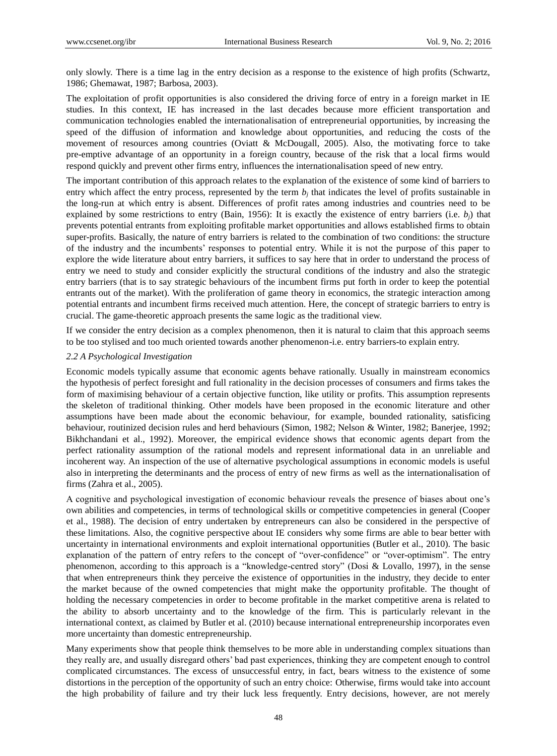only slowly. There is a time lag in the entry decision as a response to the existence of high profits (Schwartz, 1986; Ghemawat, 1987; Barbosa, 2003).

The exploitation of profit opportunities is also considered the driving force of entry in a foreign market in IE studies. In this context, IE has increased in the last decades because more efficient transportation and communication technologies enabled the internationalisation of entrepreneurial opportunities, by increasing the speed of the diffusion of information and knowledge about opportunities, and reducing the costs of the movement of resources among countries (Oviatt & McDougall, 2005). Also, the motivating force to take pre-emptive advantage of an opportunity in a foreign country, because of the risk that a local firms would respond quickly and prevent other firms entry, influences the internationalisation speed of new entry.

The important contribution of this approach relates to the explanation of the existence of some kind of barriers to entry which affect the entry process, represented by the term  $b_j$  that indicates the level of profits sustainable in the long-run at which entry is absent. Differences of profit rates among industries and countries need to be explained by some restrictions to entry (Bain, 1956): It is exactly the existence of entry barriers (i.e.  $b_i$ ) that prevents potential entrants from exploiting profitable market opportunities and allows established firms to obtain super-profits. Basically, the nature of entry barriers is related to the combination of two conditions: the structure of the industry and the incumbents' responses to potential entry. While it is not the purpose of this paper to explore the wide literature about entry barriers, it suffices to say here that in order to understand the process of entry we need to study and consider explicitly the structural conditions of the industry and also the strategic entry barriers (that is to say strategic behaviours of the incumbent firms put forth in order to keep the potential entrants out of the market). With the proliferation of game theory in economics, the strategic interaction among potential entrants and incumbent firms received much attention. Here, the concept of strategic barriers to entry is crucial. The game-theoretic approach presents the same logic as the traditional view.

If we consider the entry decision as a complex phenomenon, then it is natural to claim that this approach seems to be too stylised and too much oriented towards another phenomenon-i.e. entry barriers-to explain entry.

# *2.2 A Psychological Investigation*

Economic models typically assume that economic agents behave rationally. Usually in mainstream economics the hypothesis of perfect foresight and full rationality in the decision processes of consumers and firms takes the form of maximising behaviour of a certain objective function, like utility or profits. This assumption represents the skeleton of traditional thinking. Other models have been proposed in the economic literature and other assumptions have been made about the economic behaviour, for example, bounded rationality, satisficing behaviour, routinized decision rules and herd behaviours (Simon, 1982; Nelson & Winter, 1982; Banerjee, 1992; Bikhchandani et al., 1992). Moreover, the empirical evidence shows that economic agents depart from the perfect rationality assumption of the rational models and represent informational data in an unreliable and incoherent way. An inspection of the use of alternative psychological assumptions in economic models is useful also in interpreting the determinants and the process of entry of new firms as well as the internationalisation of firms (Zahra et al., 2005).

A cognitive and psychological investigation of economic behaviour reveals the presence of biases about one's own abilities and competencies, in terms of technological skills or competitive competencies in general (Cooper et al., 1988). The decision of entry undertaken by entrepreneurs can also be considered in the perspective of these limitations. Also, the cognitive perspective about IE considers why some firms are able to bear better with uncertainty in international environments and exploit international opportunities (Butler et al., 2010). The basic explanation of the pattern of entry refers to the concept of "over-confidence" or "over-optimism". The entry phenomenon, according to this approach is a "knowledge-centred story" (Dosi & Lovallo, 1997), in the sense that when entrepreneurs think they perceive the existence of opportunities in the industry, they decide to enter the market because of the owned competencies that might make the opportunity profitable. The thought of holding the necessary competencies in order to become profitable in the market competitive arena is related to the ability to absorb uncertainty and to the knowledge of the firm. This is particularly relevant in the international context, as claimed by Butler et al. (2010) because international entrepreneurship incorporates even more uncertainty than domestic entrepreneurship.

Many experiments show that people think themselves to be more able in understanding complex situations than they really are, and usually disregard others' bad past experiences, thinking they are competent enough to control complicated circumstances. The excess of unsuccessful entry, in fact, bears witness to the existence of some distortions in the perception of the opportunity of such an entry choice: Otherwise, firms would take into account the high probability of failure and try their luck less frequently. Entry decisions, however, are not merely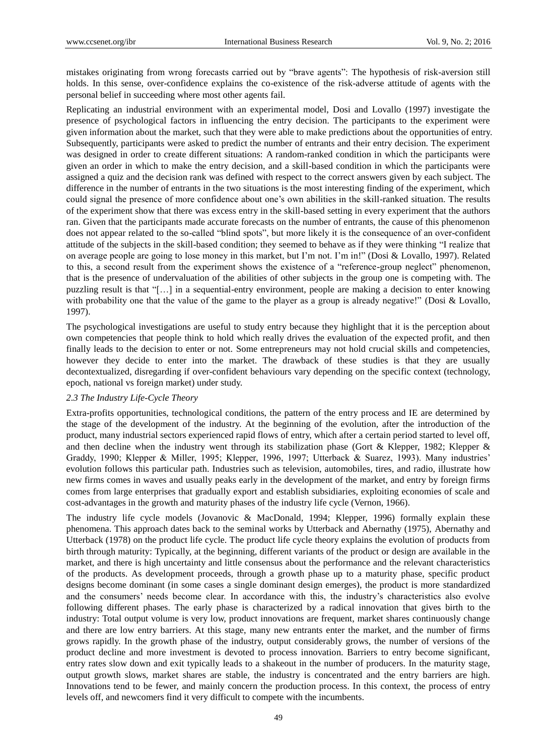mistakes originating from wrong forecasts carried out by "brave agents": The hypothesis of risk-aversion still holds. In this sense, over-confidence explains the co-existence of the risk-adverse attitude of agents with the personal belief in succeeding where most other agents fail.

Replicating an industrial environment with an experimental model, Dosi and Lovallo (1997) investigate the presence of psychological factors in influencing the entry decision. The participants to the experiment were given information about the market, such that they were able to make predictions about the opportunities of entry. Subsequently, participants were asked to predict the number of entrants and their entry decision. The experiment was designed in order to create different situations: A random-ranked condition in which the participants were given an order in which to make the entry decision, and a skill-based condition in which the participants were assigned a quiz and the decision rank was defined with respect to the correct answers given by each subject. The difference in the number of entrants in the two situations is the most interesting finding of the experiment, which could signal the presence of more confidence about one's own abilities in the skill-ranked situation. The results of the experiment show that there was excess entry in the skill-based setting in every experiment that the authors ran. Given that the participants made accurate forecasts on the number of entrants, the cause of this phenomenon does not appear related to the so-called "blind spots", but more likely it is the consequence of an over-confident attitude of the subjects in the skill-based condition; they seemed to behave as if they were thinking "I realize that on average people are going to lose money in this market, but I'm not. I'm in!" (Dosi & Lovallo, 1997). Related to this, a second result from the experiment shows the existence of a "reference-group neglect" phenomenon, that is the presence of undervaluation of the abilities of other subjects in the group one is competing with. The puzzling result is that "[…] in a sequential-entry environment, people are making a decision to enter knowing with probability one that the value of the game to the player as a group is already negative!" (Dosi & Lovallo, 1997).

The psychological investigations are useful to study entry because they highlight that it is the perception about own competencies that people think to hold which really drives the evaluation of the expected profit, and then finally leads to the decision to enter or not. Some entrepreneurs may not hold crucial skills and competencies, however they decide to enter into the market. The drawback of these studies is that they are usually decontextualized, disregarding if over-confident behaviours vary depending on the specific context (technology, epoch, national vs foreign market) under study.

# *2.3 The Industry Life-Cycle Theory*

Extra-profits opportunities, technological conditions, the pattern of the entry process and IE are determined by the stage of the development of the industry. At the beginning of the evolution, after the introduction of the product, many industrial sectors experienced rapid flows of entry, which after a certain period started to level off, and then decline when the industry went through its stabilization phase (Gort & Klepper, 1982; Klepper & Graddy, 1990; Klepper & Miller, 1995; Klepper, 1996, 1997; Utterback & Suarez, 1993). Many industries' evolution follows this particular path. Industries such as television, automobiles, tires, and radio, illustrate how new firms comes in waves and usually peaks early in the development of the market, and entry by foreign firms comes from large enterprises that gradually export and establish subsidiaries, exploiting economies of scale and cost-advantages in the growth and maturity phases of the industry life cycle (Vernon, 1966).

The industry life cycle models (Jovanovic & MacDonald, 1994; Klepper, 1996) formally explain these phenomena. This approach dates back to the seminal works by Utterback and Abernathy (1975), Abernathy and Utterback (1978) on the product life cycle. The product life cycle theory explains the evolution of products from birth through maturity: Typically, at the beginning, different variants of the product or design are available in the market, and there is high uncertainty and little consensus about the performance and the relevant characteristics of the products. As development proceeds, through a growth phase up to a maturity phase, specific product designs become dominant (in some cases a single dominant design emerges), the product is more standardized and the consumers' needs become clear. In accordance with this, the industry's characteristics also evolve following different phases. The early phase is characterized by a radical innovation that gives birth to the industry: Total output volume is very low, product innovations are frequent, market shares continuously change and there are low entry barriers. At this stage, many new entrants enter the market, and the number of firms grows rapidly. In the growth phase of the industry, output considerably grows, the number of versions of the product decline and more investment is devoted to process innovation. Barriers to entry become significant, entry rates slow down and exit typically leads to a shakeout in the number of producers. In the maturity stage, output growth slows, market shares are stable, the industry is concentrated and the entry barriers are high. Innovations tend to be fewer, and mainly concern the production process. In this context, the process of entry levels off, and newcomers find it very difficult to compete with the incumbents.

 $\overline{49}$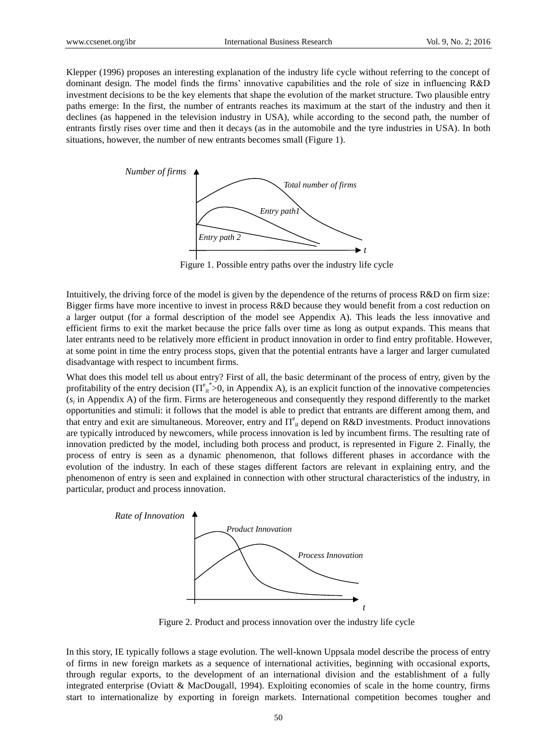Klepper (1996) proposes an interesting explanation of the industry life cycle without referring to the concept of dominant design. The model finds the firms' innovative capabilities and the role of size in influencing R&D investment decisions to be the key elements that shape the evolution of the market structure. Two plausible entry paths emerge: In the first, the number of entrants reaches its maximum at the start of the industry and then it declines (as happened in the television industry in USA), while according to the second path, the number of entrants firstly rises over time and then it decays (as in the automobile and the tyre industries in USA). In both situations, however, the number of new entrants becomes small (Figure 1).



Figure 1. Possible entry paths over the industry life cycle

Intuitively, the driving force of the model is given by the dependence of the returns of process R&D on firm size: Bigger firms have more incentive to invest in process R&D because they would benefit from a cost reduction on a larger output (for a formal description of the model see Appendix A). This leads the less innovative and efficient firms to exit the market because the price falls over time as long as output expands. This means that later entrants need to be relatively more efficient in product innovation in order to find entry profitable. However, at some point in time the entry process stops, given that the potential entrants have a larger and larger cumulated disadvantage with respect to incumbent firms.

What does this model tell us about entry? First of all, the basic determinant of the process of entry, given by the profitability of the entry decision  $(\Pi^e_{it} > 0)$ , in Appendix A), is an explicit function of the innovative competencies (*si* in Appendix A) of the firm. Firms are heterogeneous and consequently they respond differently to the market opportunities and stimuli: it follows that the model is able to predict that entrants are different among them, and that entry and exit are simultaneous. Moreover, entry and  $\Pi_{it}^{e}$  depend on R&D investments. Product innovations are typically introduced by newcomers, while process innovation is led by incumbent firms. The resulting rate of innovation predicted by the model, including both process and product, is represented in Figure 2. Finally, the process of entry is seen as a dynamic phenomenon, that follows different phases in accordance with the evolution of the industry. In each of these stages different factors are relevant in explaining entry, and the phenomenon of entry is seen and explained in connection with other structural characteristics of the industry, in particular, product and process innovation.



Figure 2. Product and process innovation over the industry life cycle

In this story, IE typically follows a stage evolution. The well-known Uppsala model describe the process of entry of firms in new foreign markets as a sequence of international activities, beginning with occasional exports, through regular exports, to the development of an international division and the establishment of a fully integrated enterprise (Oviatt & MacDougall, 1994). Exploiting economies of scale in the home country, firms start to internationalize by exporting in foreign markets. International competition becomes tougher and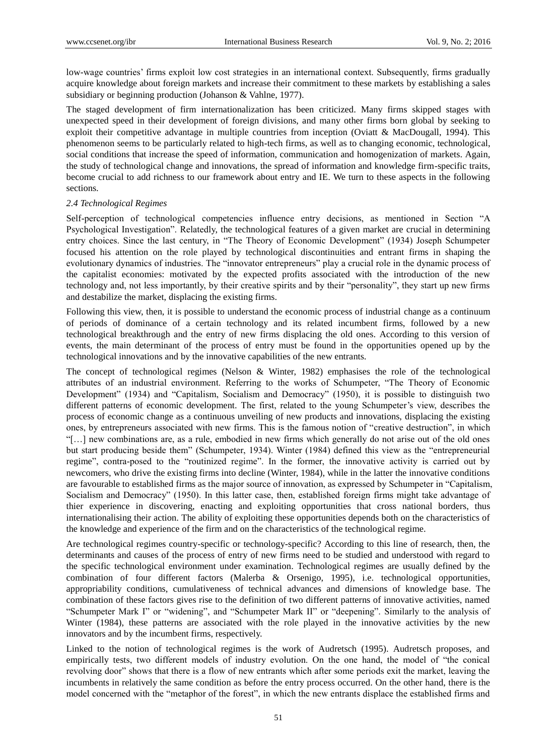low-wage countries' firms exploit low cost strategies in an international context. Subsequently, firms gradually acquire knowledge about foreign markets and increase their commitment to these markets by establishing a sales subsidiary or beginning production (Johanson & Vahlne, 1977).

The staged development of firm internationalization has been criticized. Many firms skipped stages with unexpected speed in their development of foreign divisions, and many other firms born global by seeking to exploit their competitive advantage in multiple countries from inception (Oviatt & MacDougall, 1994). This phenomenon seems to be particularly related to high-tech firms, as well as to changing economic, technological, social conditions that increase the speed of information, communication and homogenization of markets. Again, the study of technological change and innovations, the spread of information and knowledge firm-specific traits, become crucial to add richness to our framework about entry and IE. We turn to these aspects in the following sections.

# *2.4 Technological Regimes*

Self-perception of technological competencies influence entry decisions, as mentioned in Section "A Psychological Investigation". Relatedly, the technological features of a given market are crucial in determining entry choices. Since the last century, in "The Theory of Economic Development" (1934) Joseph Schumpeter focused his attention on the role played by technological discontinuities and entrant firms in shaping the evolutionary dynamics of industries. The "innovator entrepreneurs" play a crucial role in the dynamic process of the capitalist economies: motivated by the expected profits associated with the introduction of the new technology and, not less importantly, by their creative spirits and by their "personality", they start up new firms and destabilize the market, displacing the existing firms.

Following this view, then, it is possible to understand the economic process of industrial change as a continuum of periods of dominance of a certain technology and its related incumbent firms, followed by a new technological breakthrough and the entry of new firms displacing the old ones. According to this version of events, the main determinant of the process of entry must be found in the opportunities opened up by the technological innovations and by the innovative capabilities of the new entrants.

The concept of technological regimes (Nelson & Winter, 1982) emphasises the role of the technological attributes of an industrial environment. Referring to the works of Schumpeter, "The Theory of Economic Development" (1934) and "Capitalism, Socialism and Democracy" (1950), it is possible to distinguish two different patterns of economic development. The first, related to the young Schumpeter's view, describes the process of economic change as a continuous unveiling of new products and innovations, displacing the existing ones, by entrepreneurs associated with new firms. This is the famous notion of "creative destruction", in which "[…] new combinations are, as a rule, embodied in new firms which generally do not arise out of the old ones but start producing beside them" (Schumpeter, 1934). Winter (1984) defined this view as the "entrepreneurial regime", contra-posed to the "routinized regime". In the former, the innovative activity is carried out by newcomers, who drive the existing firms into decline (Winter, 1984), while in the latter the innovative conditions are favourable to established firms as the major source of innovation, as expressed by Schumpeter in "Capitalism, Socialism and Democracy" (1950). In this latter case, then, established foreign firms might take advantage of thier experience in discovering, enacting and exploiting opportunities that cross national borders, thus internationalising their action. The ability of exploiting these opportunities depends both on the characteristics of the knowledge and experience of the firm and on the characteristics of the technological regime.

Are technological regimes country-specific or technology-specific? According to this line of research, then, the determinants and causes of the process of entry of new firms need to be studied and understood with regard to the specific technological environment under examination. Technological regimes are usually defined by the combination of four different factors (Malerba & Orsenigo, 1995), i.e. technological opportunities, appropriability conditions, cumulativeness of technical advances and dimensions of knowledge base. The combination of these factors gives rise to the definition of two different patterns of innovative activities, named "Schumpeter Mark I" or "widening", and "Schumpeter Mark II" or "deepening". Similarly to the analysis of Winter (1984), these patterns are associated with the role played in the innovative activities by the new innovators and by the incumbent firms, respectively.

Linked to the notion of technological regimes is the work of Audretsch (1995). Audretsch proposes, and empirically tests, two different models of industry evolution. On the one hand, the model of "the conical revolving door" shows that there is a flow of new entrants which after some periods exit the market, leaving the incumbents in relatively the same condition as before the entry process occurred. On the other hand, there is the model concerned with the "metaphor of the forest", in which the new entrants displace the established firms and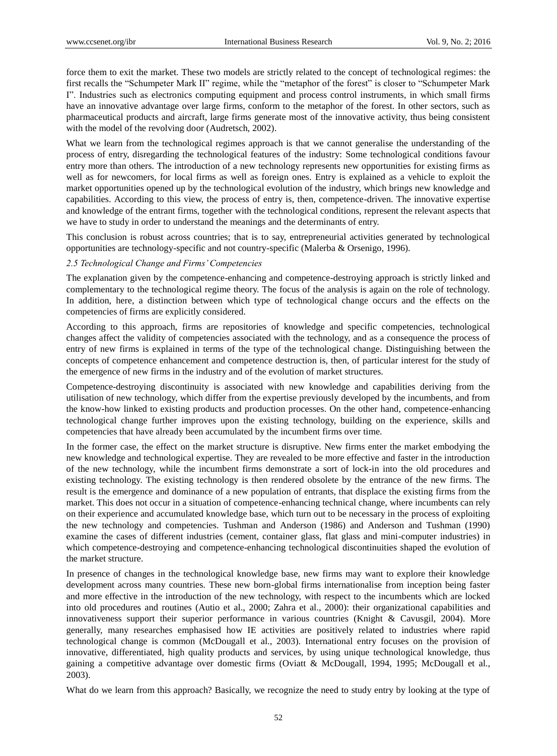force them to exit the market. These two models are strictly related to the concept of technological regimes: the first recalls the "Schumpeter Mark II" regime, while the "metaphor of the forest" is closer to "Schumpeter Mark I". Industries such as electronics computing equipment and process control instruments, in which small firms have an innovative advantage over large firms, conform to the metaphor of the forest. In other sectors, such as pharmaceutical products and aircraft, large firms generate most of the innovative activity, thus being consistent with the model of the revolving door (Audretsch, 2002).

What we learn from the technological regimes approach is that we cannot generalise the understanding of the process of entry, disregarding the technological features of the industry: Some technological conditions favour entry more than others. The introduction of a new technology represents new opportunities for existing firms as well as for newcomers, for local firms as well as foreign ones. Entry is explained as a vehicle to exploit the market opportunities opened up by the technological evolution of the industry, which brings new knowledge and capabilities. According to this view, the process of entry is, then, competence-driven. The innovative expertise and knowledge of the entrant firms, together with the technological conditions, represent the relevant aspects that we have to study in order to understand the meanings and the determinants of entry.

This conclusion is robust across countries; that is to say, entrepreneurial activities generated by technological opportunities are technology-specific and not country-specific (Malerba & Orsenigo, 1996).

#### *2.5 Technological Change and Firms' Competencies*

The explanation given by the competence-enhancing and competence-destroying approach is strictly linked and complementary to the technological regime theory. The focus of the analysis is again on the role of technology. In addition, here, a distinction between which type of technological change occurs and the effects on the competencies of firms are explicitly considered.

According to this approach, firms are repositories of knowledge and specific competencies, technological changes affect the validity of competencies associated with the technology, and as a consequence the process of entry of new firms is explained in terms of the type of the technological change. Distinguishing between the concepts of competence enhancement and competence destruction is, then, of particular interest for the study of the emergence of new firms in the industry and of the evolution of market structures.

Competence-destroying discontinuity is associated with new knowledge and capabilities deriving from the utilisation of new technology, which differ from the expertise previously developed by the incumbents, and from the know-how linked to existing products and production processes. On the other hand, competence-enhancing technological change further improves upon the existing technology, building on the experience, skills and competencies that have already been accumulated by the incumbent firms over time.

In the former case, the effect on the market structure is disruptive. New firms enter the market embodying the new knowledge and technological expertise. They are revealed to be more effective and faster in the introduction of the new technology, while the incumbent firms demonstrate a sort of lock-in into the old procedures and existing technology. The existing technology is then rendered obsolete by the entrance of the new firms. The result is the emergence and dominance of a new population of entrants, that displace the existing firms from the market. This does not occur in a situation of competence-enhancing technical change, where incumbents can rely on their experience and accumulated knowledge base, which turn out to be necessary in the process of exploiting the new technology and competencies. Tushman and Anderson (1986) and Anderson and Tushman (1990) examine the cases of different industries (cement, container glass, flat glass and mini-computer industries) in which competence-destroying and competence-enhancing technological discontinuities shaped the evolution of the market structure.

In presence of changes in the technological knowledge base, new firms may want to explore their knowledge development across many countries. These new born-global firms internationalise from inception being faster and more effective in the introduction of the new technology, with respect to the incumbents which are locked into old procedures and routines (Autio et al., 2000; Zahra et al., 2000): their organizational capabilities and innovativeness support their superior performance in various countries (Knight & Cavusgil, 2004). More generally, many researches emphasised how IE activities are positively related to industries where rapid technological change is common (McDougall et al., 2003). International entry focuses on the provision of innovative, differentiated, high quality products and services, by using unique technological knowledge, thus gaining a competitive advantage over domestic firms (Oviatt & McDougall, 1994, 1995; McDougall et al., 2003).

What do we learn from this approach? Basically, we recognize the need to study entry by looking at the type of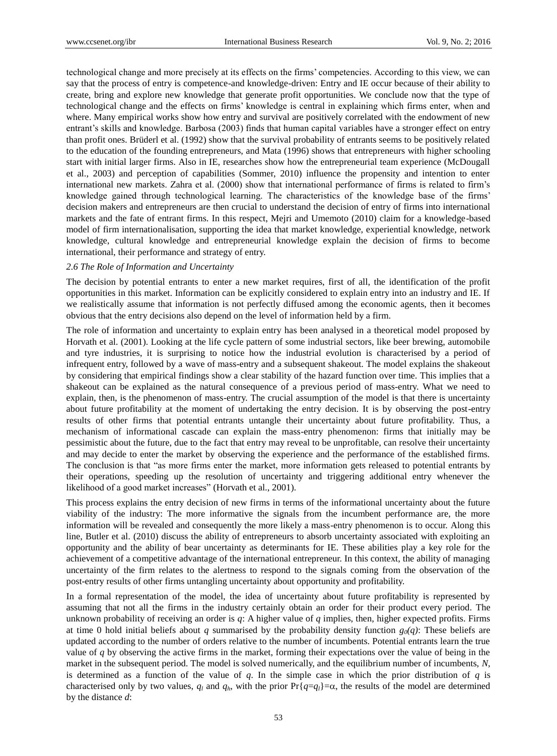technological change and more precisely at its effects on the firms' competencies. According to this view, we can say that the process of entry is competence-and knowledge-driven: Entry and IE occur because of their ability to create, bring and explore new knowledge that generate profit opportunities. We conclude now that the type of technological change and the effects on firms' knowledge is central in explaining which firms enter, when and where. Many empirical works show how entry and survival are positively correlated with the endowment of new entrant's skills and knowledge. Barbosa (2003) finds that human capital variables have a stronger effect on entry than profit ones. Brüderl et al. (1992) show that the survival probability of entrants seems to be positively related to the education of the founding entrepreneurs, and Mata (1996) shows that entrepreneurs with higher schooling start with initial larger firms. Also in IE, researches show how the entrepreneurial team experience (McDougall et al., 2003) and perception of capabilities (Sommer, 2010) influence the propensity and intention to enter international new markets. Zahra et al. (2000) show that international performance of firms is related to firm's knowledge gained through technological learning. The characteristics of the knowledge base of the firms' decision makers and entrepreneurs are then crucial to understand the decision of entry of firms into international markets and the fate of entrant firms. In this respect, Mejri and Umemoto (2010) claim for a knowledge-based model of firm internationalisation, supporting the idea that market knowledge, experiential knowledge, network knowledge, cultural knowledge and entrepreneurial knowledge explain the decision of firms to become international, their performance and strategy of entry.

#### *2.6 The Role of Information and Uncertainty*

The decision by potential entrants to enter a new market requires, first of all, the identification of the profit opportunities in this market. Information can be explicitly considered to explain entry into an industry and IE. If we realistically assume that information is not perfectly diffused among the economic agents, then it becomes obvious that the entry decisions also depend on the level of information held by a firm.

The role of information and uncertainty to explain entry has been analysed in a theoretical model proposed by Horvath et al. (2001). Looking at the life cycle pattern of some industrial sectors, like beer brewing, automobile and tyre industries, it is surprising to notice how the industrial evolution is characterised by a period of infrequent entry, followed by a wave of mass-entry and a subsequent shakeout. The model explains the shakeout by considering that empirical findings show a clear stability of the hazard function over time. This implies that a shakeout can be explained as the natural consequence of a previous period of mass-entry. What we need to explain, then, is the phenomenon of mass-entry. The crucial assumption of the model is that there is uncertainty about future profitability at the moment of undertaking the entry decision. It is by observing the post-entry results of other firms that potential entrants untangle their uncertainty about future profitability. Thus, a mechanism of informational cascade can explain the mass-entry phenomenon: firms that initially may be pessimistic about the future, due to the fact that entry may reveal to be unprofitable, can resolve their uncertainty and may decide to enter the market by observing the experience and the performance of the established firms. The conclusion is that "as more firms enter the market, more information gets released to potential entrants by their operations, speeding up the resolution of uncertainty and triggering additional entry whenever the likelihood of a good market increases" (Horvath et al., 2001).

This process explains the entry decision of new firms in terms of the informational uncertainty about the future viability of the industry: The more informative the signals from the incumbent performance are, the more information will be revealed and consequently the more likely a mass-entry phenomenon is to occur. Along this line, Butler et al. (2010) discuss the ability of entrepreneurs to absorb uncertainty associated with exploiting an opportunity and the ability of bear uncertainty as determinants for IE. These abilities play a key role for the achievement of a competitive advantage of the international entrepreneur. In this context, the ability of managing uncertainty of the firm relates to the alertness to respond to the signals coming from the observation of the post-entry results of other firms untangling uncertainty about opportunity and profitability.

In a formal representation of the model, the idea of uncertainty about future profitability is represented by assuming that not all the firms in the industry certainly obtain an order for their product every period. The unknown probability of receiving an order is *q*: A higher value of *q* implies, then, higher expected profits. Firms at time 0 hold initial beliefs about *q* summarised by the probability density function  $g_0(q)$ : These beliefs are updated according to the number of orders relative to the number of incumbents. Potential entrants learn the true value of *q* by observing the active firms in the market, forming their expectations over the value of being in the market in the subsequent period. The model is solved numerically, and the equilibrium number of incumbents, *N*, is determined as a function of the value of *q*. In the simple case in which the prior distribution of *q* is characterised only by two values,  $q_l$  and  $q_h$ , with the prior  $Pr\{q=q_l\} = \alpha$ , the results of the model are determined by the distance *d*: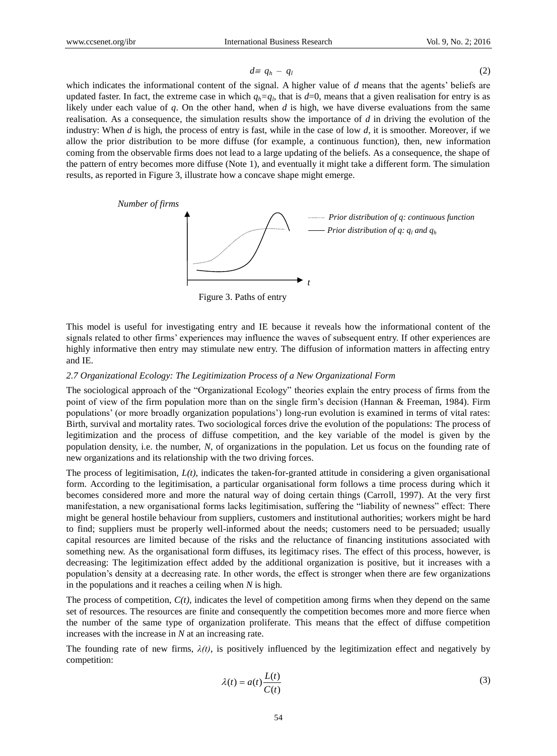$$
d \equiv q_h - q_l \tag{2}
$$

which indicates the informational content of the signal. A higher value of *d* means that the agents' beliefs are updated faster. In fact, the extreme case in which  $q_h = q_l$ , that is  $d=0$ , means that a given realisation for entry is as likely under each value of *q*. On the other hand, when *d* is high, we have diverse evaluations from the same realisation. As a consequence, the simulation results show the importance of *d* in driving the evolution of the industry: When *d* is high, the process of entry is fast, while in the case of low *d*, it is smoother. Moreover, if we allow the prior distribution to be more diffuse (for example, a continuous function), then, new information coming from the observable firms does not lead to a large updating of the beliefs. As a consequence, the shape of the pattern of entry becomes more diffuse (Note 1), and eventually it might take a different form. The simulation results, as reported in Figure 3, illustrate how a concave shape might emerge.



Figure 3. Paths of entry

This model is useful for investigating entry and IE because it reveals how the informational content of the signals related to other firms' experiences may influence the waves of subsequent entry. If other experiences are highly informative then entry may stimulate new entry. The diffusion of information matters in affecting entry and IE.

#### *2.7 Organizational Ecology: The Legitimization Process of a New Organizational Form*

The sociological approach of the "Organizational Ecology" theories explain the entry process of firms from the point of view of the firm population more than on the single firm's decision (Hannan & Freeman, 1984). Firm populations' (or more broadly organization populations') long-run evolution is examined in terms of vital rates: Birth, survival and mortality rates. Two sociological forces drive the evolution of the populations: The process of legitimization and the process of diffuse competition, and the key variable of the model is given by the population density, i.e. the number, *N*, of organizations in the population. Let us focus on the founding rate of new organizations and its relationship with the two driving forces.

The process of legitimisation,  $L(t)$ , indicates the taken-for-granted attitude in considering a given organisational form. According to the legitimisation, a particular organisational form follows a time process during which it becomes considered more and more the natural way of doing certain things (Carroll, 1997). At the very first manifestation, a new organisational forms lacks legitimisation, suffering the "liability of newness" effect: There might be general hostile behaviour from suppliers, customers and institutional authorities; workers might be hard to find; suppliers must be properly well-informed about the needs; customers need to be persuaded; usually capital resources are limited because of the risks and the reluctance of financing institutions associated with something new. As the organisational form diffuses, its legitimacy rises. The effect of this process, however, is decreasing: The legitimization effect added by the additional organization is positive, but it increases with a population's density at a decreasing rate. In other words, the effect is stronger when there are few organizations in the populations and it reaches a ceiling when *N* is high.

The process of competition, *C(t)*, indicates the level of competition among firms when they depend on the same set of resources. The resources are finite and consequently the competition becomes more and more fierce when the number of the same type of organization proliferate. This means that the effect of diffuse competition increases with the increase in *N* at an increasing rate.

The founding rate of new firms,  $\lambda(t)$ , is positively influenced by the legitimization effect and negatively by competition:

$$
\lambda(t) = a(t) \frac{L(t)}{C(t)}\tag{3}
$$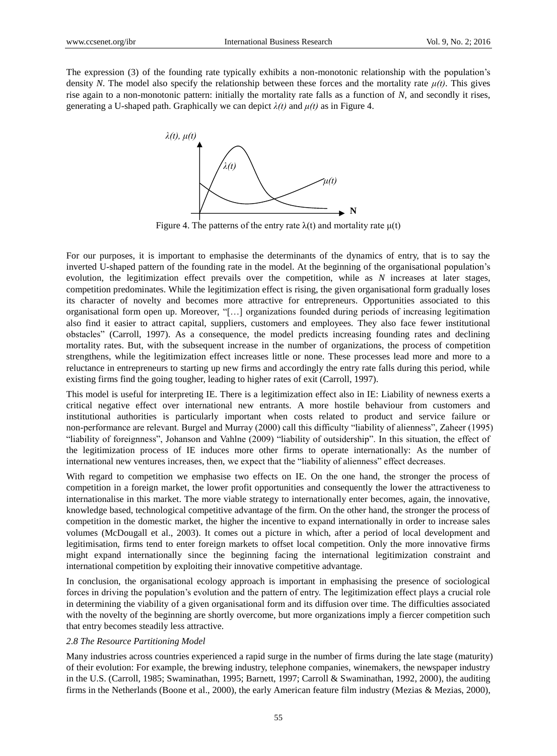The expression (3) of the founding rate typically exhibits a non-monotonic relationship with the population's density *N*. The model also specify the relationship between these forces and the mortality rate *μ(t)*. This gives rise again to a non-monotonic pattern: initially the mortality rate falls as a function of *N*, and secondly it rises, generating a U-shaped path. Graphically we can depict  $\lambda(t)$  and  $\mu(t)$  as in Figure 4.



Figure 4. The patterns of the entry rate  $\lambda(t)$  and mortality rate  $\mu(t)$ 

For our purposes, it is important to emphasise the determinants of the dynamics of entry, that is to say the inverted U-shaped pattern of the founding rate in the model. At the beginning of the organisational population's evolution, the legitimization effect prevails over the competition, while as *N* increases at later stages, competition predominates. While the legitimization effect is rising, the given organisational form gradually loses its character of novelty and becomes more attractive for entrepreneurs. Opportunities associated to this organisational form open up. Moreover, "[…] organizations founded during periods of increasing legitimation also find it easier to attract capital, suppliers, customers and employees. They also face fewer institutional obstacles" (Carroll, 1997). As a consequence, the model predicts increasing founding rates and declining mortality rates. But, with the subsequent increase in the number of organizations, the process of competition strengthens, while the legitimization effect increases little or none. These processes lead more and more to a reluctance in entrepreneurs to starting up new firms and accordingly the entry rate falls during this period, while existing firms find the going tougher, leading to higher rates of exit (Carroll, 1997).

This model is useful for interpreting IE. There is a legitimization effect also in IE: Liability of newness exerts a critical negative effect over international new entrants. A more hostile behaviour from customers and institutional authorities is particularly important when costs related to product and service failure or non-performance are relevant. Burgel and Murray (2000) call this difficulty "liability of alienness", Zaheer (1995) "liability of foreignness", Johanson and Vahlne (2009) "liability of outsidership". In this situation, the effect of the legitimization process of IE induces more other firms to operate internationally: As the number of international new ventures increases, then, we expect that the "liability of alienness" effect decreases.

With regard to competition we emphasise two effects on IE. On the one hand, the stronger the process of competition in a foreign market, the lower profit opportunities and consequently the lower the attractiveness to internationalise in this market. The more viable strategy to internationally enter becomes, again, the innovative, knowledge based, technological competitive advantage of the firm. On the other hand, the stronger the process of competition in the domestic market, the higher the incentive to expand internationally in order to increase sales volumes (McDougall et al., 2003). It comes out a picture in which, after a period of local development and legitimisation, firms tend to enter foreign markets to offset local competition. Only the more innovative firms might expand internationally since the beginning facing the international legitimization constraint and international competition by exploiting their innovative competitive advantage.

In conclusion, the organisational ecology approach is important in emphasising the presence of sociological forces in driving the population's evolution and the pattern of entry. The legitimization effect plays a crucial role in determining the viability of a given organisational form and its diffusion over time. The difficulties associated with the novelty of the beginning are shortly overcome, but more organizations imply a fiercer competition such that entry becomes steadily less attractive.

# *2.8 The Resource Partitioning Model*

Many industries across countries experienced a rapid surge in the number of firms during the late stage (maturity) of their evolution: For example, the brewing industry, telephone companies, winemakers, the newspaper industry in the U.S. (Carroll, 1985; Swaminathan, 1995; Barnett, 1997; Carroll & Swaminathan, 1992, 2000), the auditing firms in the Netherlands (Boone et al., 2000), the early American feature film industry (Mezias & Mezias, 2000),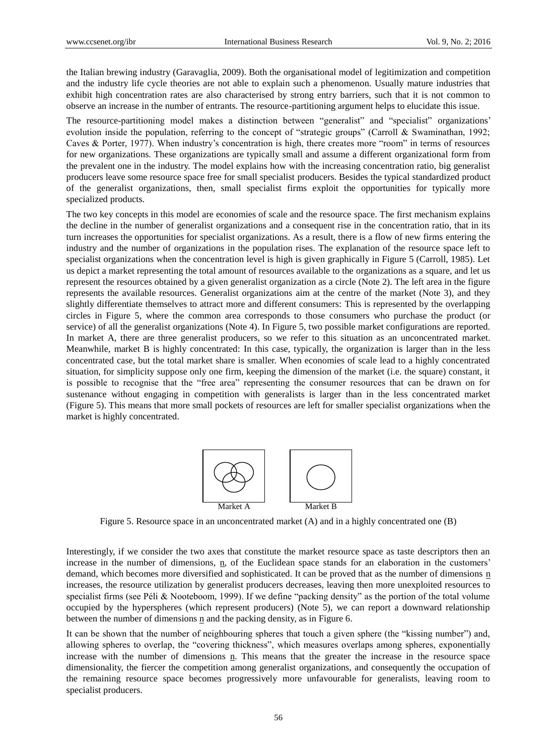the Italian brewing industry (Garavaglia, 2009). Both the organisational model of legitimization and competition and the industry life cycle theories are not able to explain such a phenomenon. Usually mature industries that exhibit high concentration rates are also characterised by strong entry barriers, such that it is not common to observe an increase in the number of entrants. The resource-partitioning argument helps to elucidate this issue.

The resource-partitioning model makes a distinction between "generalist" and "specialist" organizations' evolution inside the population, referring to the concept of "strategic groups" (Carroll & Swaminathan, 1992; Caves & Porter, 1977). When industry's concentration is high, there creates more "room" in terms of resources for new organizations. These organizations are typically small and assume a different organizational form from the prevalent one in the industry. The model explains how with the increasing concentration ratio, big generalist producers leave some resource space free for small specialist producers. Besides the typical standardized product of the generalist organizations, then, small specialist firms exploit the opportunities for typically more specialized products.

The two key concepts in this model are economies of scale and the resource space. The first mechanism explains the decline in the number of generalist organizations and a consequent rise in the concentration ratio, that in its turn increases the opportunities for specialist organizations. As a result, there is a flow of new firms entering the industry and the number of organizations in the population rises. The explanation of the resource space left to specialist organizations when the concentration level is high is given graphically in Figure 5 (Carroll, 1985). Let us depict a market representing the total amount of resources available to the organizations as a square, and let us represent the resources obtained by a given generalist organization as a circle (Note 2). The left area in the figure represents the available resources. Generalist organizations aim at the centre of the market (Note 3), and they slightly differentiate themselves to attract more and different consumers: This is represented by the overlapping circles in Figure 5, where the common area corresponds to those consumers who purchase the product (or service) of all the generalist organizations (Note 4). In Figure 5, two possible market configurations are reported. In market A, there are three generalist producers, so we refer to this situation as an unconcentrated market. Meanwhile, market B is highly concentrated: In this case, typically, the organization is larger than in the less concentrated case, but the total market share is smaller. When economies of scale lead to a highly concentrated situation, for simplicity suppose only one firm, keeping the dimension of the market (i.e. the square) constant, it is possible to recognise that the "free area" representing the consumer resources that can be drawn on for sustenance without engaging in competition with generalists is larger than in the less concentrated market (Figure 5). This means that more small pockets of resources are left for smaller specialist organizations when the market is highly concentrated.



Figure 5. Resource space in an unconcentrated market (A) and in a highly concentrated one (B)

Interestingly, if we consider the two axes that constitute the market resource space as taste descriptors then an increase in the number of dimensions,  $\underline{n}$ , of the Euclidean space stands for an elaboration in the customers' demand, which becomes more diversified and sophisticated. It can be proved that as the number of dimensions n increases, the resource utilization by generalist producers decreases, leaving then more unexploited resources to specialist firms (see Péli & Nooteboom, 1999). If we define "packing density" as the portion of the total volume occupied by the hyperspheres (which represent producers) (Note 5), we can report a downward relationship between the number of dimensions  $\underline{n}$  and the packing density, as in Figure 6.

It can be shown that the number of neighbouring spheres that touch a given sphere (the "kissing number") and, allowing spheres to overlap, the "covering thickness", which measures overlaps among spheres, exponentially increase with the number of dimensions  $\underline{n}$ . This means that the greater the increase in the resource space dimensionality, the fiercer the competition among generalist organizations, and consequently the occupation of the remaining resource space becomes progressively more unfavourable for generalists, leaving room to specialist producers.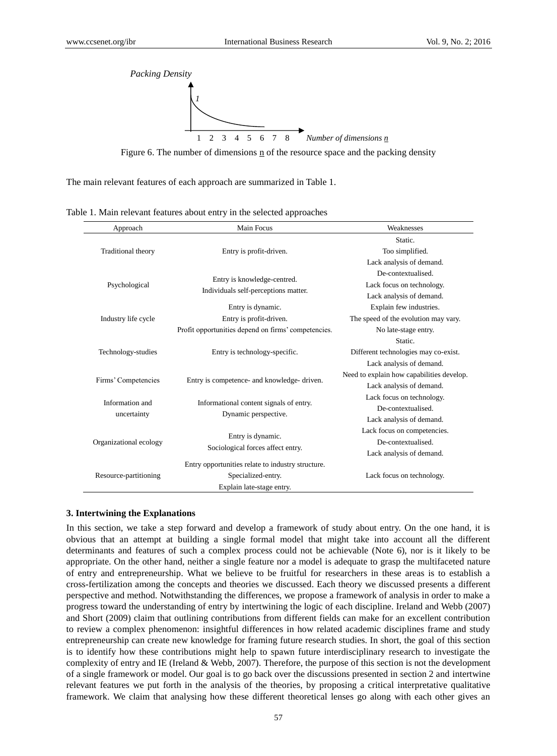

Figure 6. The number of dimensions  $\underline{n}$  of the resource space and the packing density

The main relevant features of each approach are summarized in Table 1.

|  |  |  |  | Table 1. Main relevant features about entry in the selected approaches |
|--|--|--|--|------------------------------------------------------------------------|
|  |  |  |  |                                                                        |

| Approach                       | Main Focus                                          | Weaknesses                                |  |  |
|--------------------------------|-----------------------------------------------------|-------------------------------------------|--|--|
| Traditional theory             |                                                     | Static.                                   |  |  |
|                                | Entry is profit-driven.                             | Too simplified.                           |  |  |
|                                |                                                     | Lack analysis of demand.                  |  |  |
|                                |                                                     | De-contextualised.                        |  |  |
| Psychological                  | Entry is knowledge-centred.                         | Lack focus on technology.                 |  |  |
|                                | Individuals self-perceptions matter.                | Lack analysis of demand.                  |  |  |
|                                | Entry is dynamic.                                   | Explain few industries.                   |  |  |
| Industry life cycle            | Entry is profit-driven.                             | The speed of the evolution may vary.      |  |  |
|                                | Profit opportunities depend on firms' competencies. | No late-stage entry.                      |  |  |
| Technology-studies             |                                                     | Static.                                   |  |  |
|                                | Entry is technology-specific.                       | Different technologies may co-exist.      |  |  |
|                                |                                                     | Lack analysis of demand.                  |  |  |
| Firms' Competencies            |                                                     | Need to explain how capabilities develop. |  |  |
|                                | Entry is competence- and knowledge- driven.         | Lack analysis of demand.                  |  |  |
|                                |                                                     | Lack focus on technology.                 |  |  |
| Information and<br>uncertainty | Informational content signals of entry.             | De-contextualised.                        |  |  |
|                                | Dynamic perspective.                                | Lack analysis of demand.                  |  |  |
| Organizational ecology         |                                                     | Lack focus on competencies.               |  |  |
|                                | Entry is dynamic.                                   | De-contextualised.                        |  |  |
|                                | Sociological forces affect entry.                   | Lack analysis of demand.                  |  |  |
|                                | Entry opportunities relate to industry structure.   |                                           |  |  |
| Resource-partitioning          | Specialized-entry.                                  | Lack focus on technology.                 |  |  |
|                                | Explain late-stage entry.                           |                                           |  |  |

#### **3. Intertwining the Explanations**

In this section, we take a step forward and develop a framework of study about entry. On the one hand, it is obvious that an attempt at building a single formal model that might take into account all the different determinants and features of such a complex process could not be achievable (Note 6), nor is it likely to be appropriate. On the other hand, neither a single feature nor a model is adequate to grasp the multifaceted nature of entry and entrepreneurship. What we believe to be fruitful for researchers in these areas is to establish a cross-fertilization among the concepts and theories we discussed. Each theory we discussed presents a different perspective and method. Notwithstanding the differences, we propose a framework of analysis in order to make a progress toward the understanding of entry by intertwining the logic of each discipline. Ireland and Webb (2007) and Short (2009) claim that outlining contributions from different fields can make for an excellent contribution to review a complex phenomenon: insightful differences in how related academic disciplines frame and study entrepreneurship can create new knowledge for framing future research studies. In short, the goal of this section is to identify how these contributions might help to spawn future interdisciplinary research to investigate the complexity of entry and IE (Ireland & Webb, 2007). Therefore, the purpose of this section is not the development of a single framework or model. Our goal is to go back over the discussions presented in section 2 and intertwine relevant features we put forth in the analysis of the theories, by proposing a critical interpretative qualitative framework. We claim that analysing how these different theoretical lenses go along with each other gives an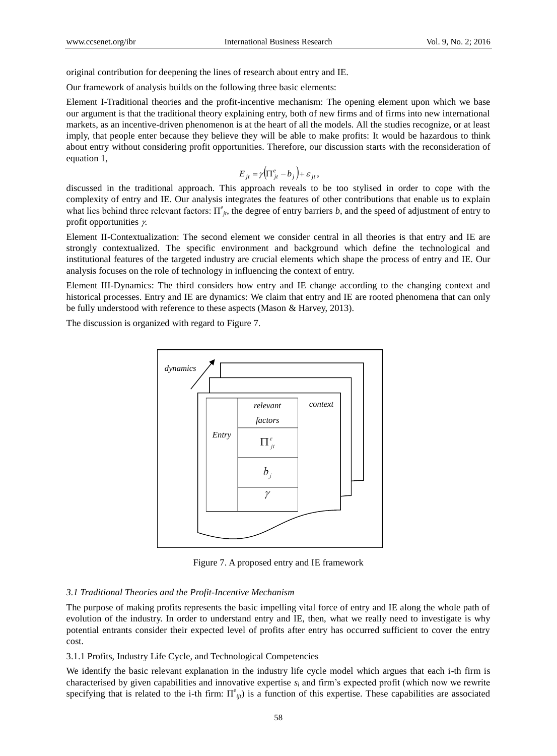original contribution for deepening the lines of research about entry and IE.

Our framework of analysis builds on the following three basic elements:

Element I-Traditional theories and the profit-incentive mechanism: The opening element upon which we base our argument is that the traditional theory explaining entry, both of new firms and of firms into new international markets, as an incentive-driven phenomenon is at the heart of all the models. All the studies recognize, or at least imply, that people enter because they believe they will be able to make profits: It would be hazardous to think about entry without considering profit opportunities. Therefore, our discussion starts with the reconsideration of equation 1,

$$
E_{jt} = \gamma \Big(\Pi_{jt}^e - b_j\Big) + \varepsilon_{jt}\,,
$$

discussed in the traditional approach. This approach reveals to be too stylised in order to cope with the complexity of entry and IE. Our analysis integrates the features of other contributions that enable us to explain what lies behind three relevant factors:  $\Pi_{ji}^e$ , the degree of entry barriers *b*, and the speed of adjustment of entry to profit opportunities  $\gamma$ .

Element II-Contextualization: The second element we consider central in all theories is that entry and IE are strongly contextualized. The specific environment and background which define the technological and institutional features of the targeted industry are crucial elements which shape the process of entry and IE. Our analysis focuses on the role of technology in influencing the context of entry.

Element III-Dynamics: The third considers how entry and IE change according to the changing context and historical processes. Entry and IE are dynamics: We claim that entry and IE are rooted phenomena that can only be fully understood with reference to these aspects (Mason & Harvey, 2013).

The discussion is organized with regard to Figure 7.



Figure 7. A proposed entry and IE framework

#### *3.1 Traditional Theories and the Profit-Incentive Mechanism*

The purpose of making profits represents the basic impelling vital force of entry and IE along the whole path of evolution of the industry. In order to understand entry and IE, then, what we really need to investigate is why potential entrants consider their expected level of profits after entry has occurred sufficient to cover the entry cost.

3.1.1 Profits, Industry Life Cycle, and Technological Competencies

We identify the basic relevant explanation in the industry life cycle model which argues that each i-th firm is characterised by given capabilities and innovative expertise *s<sup>i</sup>* and firm's expected profit (which now we rewrite specifying that is related to the i-th firm:  $\Pi^e_{ij}$  is a function of this expertise. These capabilities are associated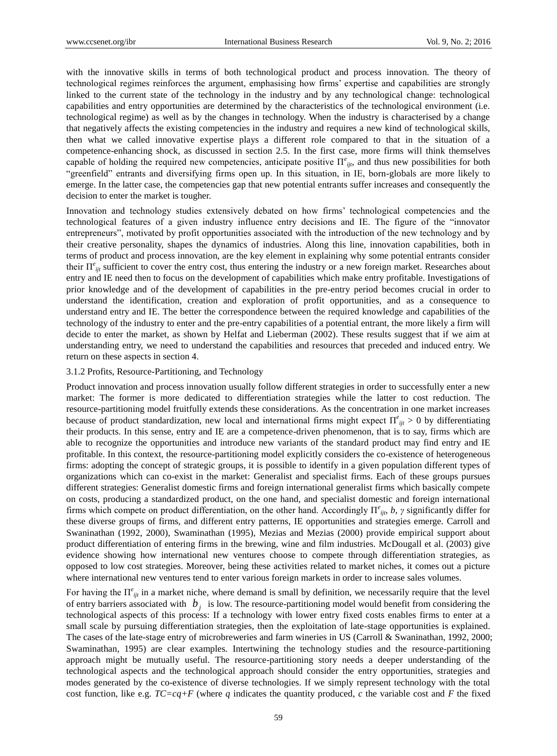with the innovative skills in terms of both technological product and process innovation. The theory of technological regimes reinforces the argument, emphasising how firms' expertise and capabilities are strongly linked to the current state of the technology in the industry and by any technological change: technological capabilities and entry opportunities are determined by the characteristics of the technological environment (i.e. technological regime) as well as by the changes in technology. When the industry is characterised by a change that negatively affects the existing competencies in the industry and requires a new kind of technological skills, then what we called innovative expertise plays a different role compared to that in the situation of a competence-enhancing shock, as discussed in section 2.5. In the first case, more firms will think themselves capable of holding the required new competencies, anticipate positive  $\Pi^e_{ijt}$ , and thus new possibilities for both "greenfield" entrants and diversifying firms open up. In this situation, in IE, born-globals are more likely to emerge. In the latter case, the competencies gap that new potential entrants suffer increases and consequently the decision to enter the market is tougher.

Innovation and technology studies extensively debated on how firms' technological competencies and the technological features of a given industry influence entry decisions and IE. The figure of the "innovator entrepreneurs", motivated by profit opportunities associated with the introduction of the new technology and by their creative personality, shapes the dynamics of industries. Along this line, innovation capabilities, both in terms of product and process innovation, are the key element in explaining why some potential entrants consider their  $\Pi^e_{ijl}$  sufficient to cover the entry cost, thus entering the industry or a new foreign market. Researches about entry and IE need then to focus on the development of capabilities which make entry profitable. Investigations of prior knowledge and of the development of capabilities in the pre-entry period becomes crucial in order to understand the identification, creation and exploration of profit opportunities, and as a consequence to understand entry and IE. The better the correspondence between the required knowledge and capabilities of the technology of the industry to enter and the pre-entry capabilities of a potential entrant, the more likely a firm will decide to enter the market, as shown by Helfat and Lieberman (2002). These results suggest that if we aim at understanding entry, we need to understand the capabilities and resources that preceded and induced entry. We return on these aspects in section 4.

#### 3.1.2 Profits, Resource-Partitioning, and Technology

Product innovation and process innovation usually follow different strategies in order to successfully enter a new market: The former is more dedicated to differentiation strategies while the latter to cost reduction. The resource-partitioning model fruitfully extends these considerations. As the concentration in one market increases because of product standardization, new local and international firms might expect  $\prod_{i}^{e} > 0$  by differentiating their products. In this sense, entry and IE are a competence-driven phenomenon, that is to say, firms which are able to recognize the opportunities and introduce new variants of the standard product may find entry and IE profitable. In this context, the resource-partitioning model explicitly considers the co-existence of heterogeneous firms: adopting the concept of strategic groups, it is possible to identify in a given population different types of organizations which can co-exist in the market: Generalist and specialist firms. Each of these groups pursues different strategies: Generalist domestic firms and foreign international generalist firms which basically compete on costs, producing a standardized product, on the one hand, and specialist domestic and foreign international firms which compete on product differentiation, on the other hand. Accordingly  $\Pi^e_{ijt}$ , *b*, *γ* significantly differ for these diverse groups of firms, and different entry patterns, IE opportunities and strategies emerge. Carroll and Swaninathan (1992, 2000), Swaminathan (1995), Mezias and Mezias (2000) provide empirical support about product differentiation of entering firms in the brewing, wine and film industries. McDougall et al. (2003) give evidence showing how international new ventures choose to compete through differentiation strategies, as opposed to low cost strategies. Moreover, being these activities related to market niches, it comes out a picture where international new ventures tend to enter various foreign markets in order to increase sales volumes.

For having the  $\Pi^e_{ijt}$  in a market niche, where demand is small by definition, we necessarily require that the level of entry barriers associated with  $b_j$  is low. The resource-partitioning model would benefit from considering the technological aspects of this process: If a technology with lower entry fixed costs enables firms to enter at a small scale by pursuing differentiation strategies, then the exploitation of late-stage opportunities is explained. The cases of the late-stage entry of microbreweries and farm wineries in US (Carroll & Swaninathan, 1992, 2000; Swaminathan, 1995) are clear examples. Intertwining the technology studies and the resource-partitioning approach might be mutually useful. The resource-partitioning story needs a deeper understanding of the technological aspects and the technological approach should consider the entry opportunities, strategies and modes generated by the co-existence of diverse technologies. If we simply represent technology with the total cost function, like e.g.  $TC=cq+F$  (where *q* indicates the quantity produced, *c* the variable cost and *F* the fixed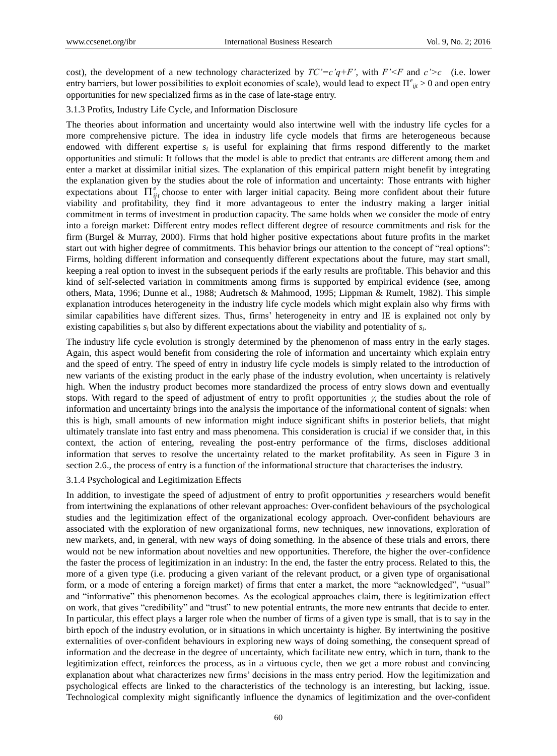cost), the development of a new technology characterized by  $TC'=c'q+F'$ , with  $F'\leq F$  and  $c' \geq c$  (i.e. lower entry barriers, but lower possibilities to exploit economies of scale), would lead to expect Π*<sup>e</sup> ijt* > 0 and open entry opportunities for new specialized firms as in the case of late-stage entry.

# 3.1.3 Profits, Industry Life Cycle, and Information Disclosure

The theories about information and uncertainty would also intertwine well with the industry life cycles for a more comprehensive picture. The idea in industry life cycle models that firms are heterogeneous because endowed with different expertise  $s_i$  is useful for explaining that firms respond differently to the market opportunities and stimuli: It follows that the model is able to predict that entrants are different among them and enter a market at dissimilar initial sizes. The explanation of this empirical pattern might benefit by integrating the explanation given by the studies about the role of information and uncertainty: Those entrants with higher expectations about  $\prod_{ij}^{e}$  choose to enter with larger initial capacity. Being more confident about their future viability and profitability, they find it more advantageous to enter the industry making a larger initial commitment in terms of investment in production capacity. The same holds when we consider the mode of entry into a foreign market: Different entry modes reflect different degree of resource commitments and risk for the firm (Burgel & Murray, 2000). Firms that hold higher positive expectations about future profits in the market start out with higher degree of commitments. This behavior brings our attention to the concept of "real options": Firms, holding different information and consequently different expectations about the future, may start small, keeping a real option to invest in the subsequent periods if the early results are profitable. This behavior and this kind of self-selected variation in commitments among firms is supported by empirical evidence (see, among others, Mata, 1996; Dunne et al., 1988; Audretsch & Mahmood, 1995; Lippman & Rumelt, 1982). This simple explanation introduces heterogeneity in the industry life cycle models which might explain also why firms with similar capabilities have different sizes. Thus, firms' heterogeneity in entry and IE is explained not only by existing capabilities *s<sup>i</sup>* but also by different expectations about the viability and potentiality of *s<sup>i</sup>* .

The industry life cycle evolution is strongly determined by the phenomenon of mass entry in the early stages. Again, this aspect would benefit from considering the role of information and uncertainty which explain entry and the speed of entry. The speed of entry in industry life cycle models is simply related to the introduction of new variants of the existing product in the early phase of the industry evolution, when uncertainty is relatively high. When the industry product becomes more standardized the process of entry slows down and eventually stops. With regard to the speed of adjustment of entry to profit opportunities  $\gamma$ , the studies about the role of information and uncertainty brings into the analysis the importance of the informational content of signals: when this is high, small amounts of new information might induce significant shifts in posterior beliefs, that might ultimately translate into fast entry and mass phenomena. This consideration is crucial if we consider that, in this context, the action of entering, revealing the post-entry performance of the firms, discloses additional information that serves to resolve the uncertainty related to the market profitability. As seen in Figure 3 in section 2.6., the process of entry is a function of the informational structure that characterises the industry.

# 3.1.4 Psychological and Legitimization Effects

In addition, to investigate the speed of adjustment of entry to profit opportunities  $\gamma$  researchers would benefit from intertwining the explanations of other relevant approaches: Over-confident behaviours of the psychological studies and the legitimization effect of the organizational ecology approach. Over-confident behaviours are associated with the exploration of new organizational forms, new techniques, new innovations, exploration of new markets, and, in general, with new ways of doing something. In the absence of these trials and errors, there would not be new information about novelties and new opportunities. Therefore, the higher the over-confidence the faster the process of legitimization in an industry: In the end, the faster the entry process. Related to this, the more of a given type (i.e. producing a given variant of the relevant product, or a given type of organisational form, or a mode of entering a foreign market) of firms that enter a market, the more "acknowledged", "usual" and "informative" this phenomenon becomes. As the ecological approaches claim, there is legitimization effect on work, that gives "credibility" and "trust" to new potential entrants, the more new entrants that decide to enter. In particular, this effect plays a larger role when the number of firms of a given type is small, that is to say in the birth epoch of the industry evolution, or in situations in which uncertainty is higher. By intertwining the positive externalities of over-confident behaviours in exploring new ways of doing something, the consequent spread of information and the decrease in the degree of uncertainty, which facilitate new entry, which in turn, thank to the legitimization effect, reinforces the process, as in a virtuous cycle, then we get a more robust and convincing explanation about what characterizes new firms' decisions in the mass entry period. How the legitimization and psychological effects are linked to the characteristics of the technology is an interesting, but lacking, issue. Technological complexity might significantly influence the dynamics of legitimization and the over-confident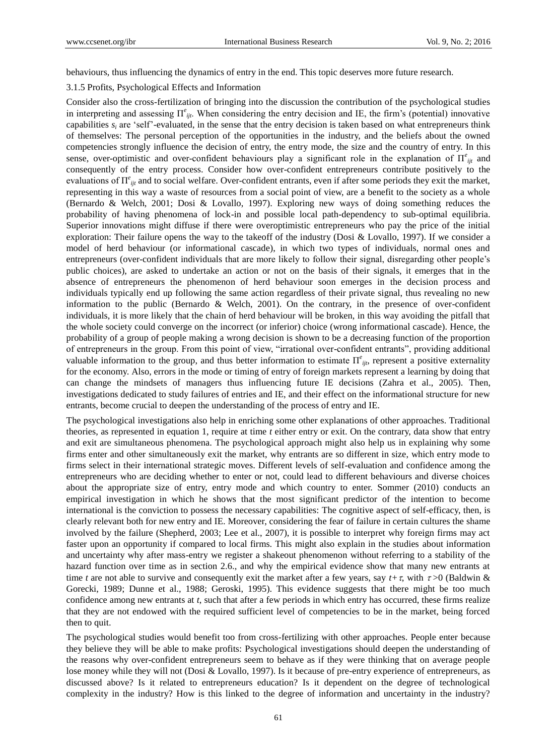behaviours, thus influencing the dynamics of entry in the end. This topic deserves more future research.

#### 3.1.5 Profits, Psychological Effects and Information

Consider also the cross-fertilization of bringing into the discussion the contribution of the psychological studies in interpreting and assessing  $\Pi^e_{ijt}$ . When considering the entry decision and IE, the firm's (potential) innovative capabilities  $s_i$  are 'self'-evaluated, in the sense that the entry decision is taken based on what entrepreneurs think of themselves: The personal perception of the opportunities in the industry, and the beliefs about the owned competencies strongly influence the decision of entry, the entry mode, the size and the country of entry. In this sense, over-optimistic and over-confident behaviours play a significant role in the explanation of  $\Pi^e_{ijt}$  and consequently of the entry process. Consider how over-confident entrepreneurs contribute positively to the evaluations of Π*<sup>e</sup> ijt* and to social welfare. Over-confident entrants, even if after some periods they exit the market, representing in this way a waste of resources from a social point of view, are a benefit to the society as a whole (Bernardo & Welch, 2001; Dosi & Lovallo, 1997). Exploring new ways of doing something reduces the probability of having phenomena of lock-in and possible local path-dependency to sub-optimal equilibria. Superior innovations might diffuse if there were overoptimistic entrepreneurs who pay the price of the initial exploration: Their failure opens the way to the takeoff of the industry (Dosi & Lovallo, 1997). If we consider a model of herd behaviour (or informational cascade), in which two types of individuals, normal ones and entrepreneurs (over-confident individuals that are more likely to follow their signal, disregarding other people's public choices), are asked to undertake an action or not on the basis of their signals, it emerges that in the absence of entrepreneurs the phenomenon of herd behaviour soon emerges in the decision process and individuals typically end up following the same action regardless of their private signal, thus revealing no new information to the public (Bernardo & Welch, 2001). On the contrary, in the presence of over-confident individuals, it is more likely that the chain of herd behaviour will be broken, in this way avoiding the pitfall that the whole society could converge on the incorrect (or inferior) choice (wrong informational cascade). Hence, the probability of a group of people making a wrong decision is shown to be a decreasing function of the proportion of entrepreneurs in the group. From this point of view, "irrational over-confident entrants", providing additional valuable information to the group, and thus better information to estimate  $\Pi^e_{ijt}$ , represent a positive externality for the economy. Also, errors in the mode or timing of entry of foreign markets represent a learning by doing that can change the mindsets of managers thus influencing future IE decisions (Zahra et al., 2005). Then, investigations dedicated to study failures of entries and IE, and their effect on the informational structure for new entrants, become crucial to deepen the understanding of the process of entry and IE.

The psychological investigations also help in enriching some other explanations of other approaches. Traditional theories, as represented in equation 1, require at time *t* either entry or exit. On the contrary, data show that entry and exit are simultaneous phenomena. The psychological approach might also help us in explaining why some firms enter and other simultaneously exit the market, why entrants are so different in size, which entry mode to firms select in their international strategic moves. Different levels of self-evaluation and confidence among the entrepreneurs who are deciding whether to enter or not, could lead to different behaviours and diverse choices about the appropriate size of entry, entry mode and which country to enter. Sommer (2010) conducts an empirical investigation in which he shows that the most significant predictor of the intention to become international is the conviction to possess the necessary capabilities: The cognitive aspect of self-efficacy, then, is clearly relevant both for new entry and IE. Moreover, considering the fear of failure in certain cultures the shame involved by the failure (Shepherd, 2003; Lee et al., 2007), it is possible to interpret why foreign firms may act faster upon an opportunity if compared to local firms. This might also explain in the studies about information and uncertainty why after mass-entry we register a shakeout phenomenon without referring to a stability of the hazard function over time as in section 2.6., and why the empirical evidence show that many new entrants at time *t* are not able to survive and consequently exit the market after a few years, say  $t + \tau$ , with  $\tau > 0$  (Baldwin & Gorecki, 1989; Dunne et al., 1988; Geroski, 1995). This evidence suggests that there might be too much confidence among new entrants at *t*, such that after a few periods in which entry has occurred, these firms realize that they are not endowed with the required sufficient level of competencies to be in the market, being forced then to quit.

The psychological studies would benefit too from cross-fertilizing with other approaches. People enter because they believe they will be able to make profits: Psychological investigations should deepen the understanding of the reasons why over-confident entrepreneurs seem to behave as if they were thinking that on average people lose money while they will not (Dosi & Lovallo, 1997). Is it because of pre-entry experience of entrepreneurs, as discussed above? Is it related to entrepreneurs education? Is it dependent on the degree of technological complexity in the industry? How is this linked to the degree of information and uncertainty in the industry?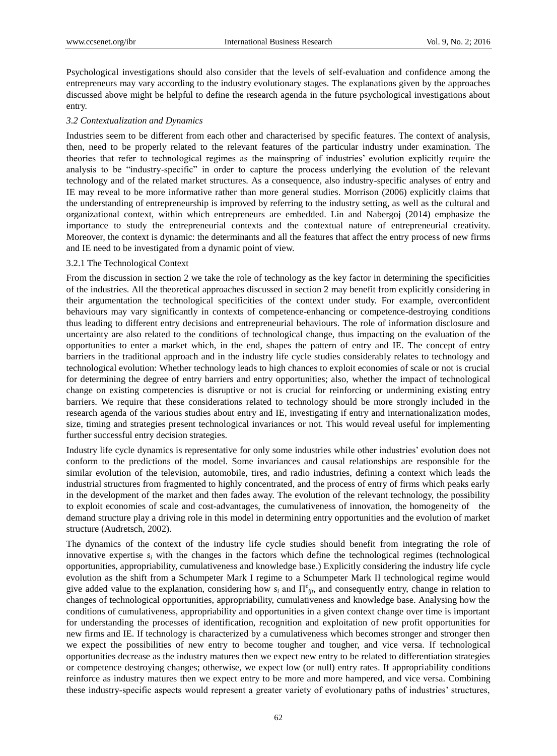Psychological investigations should also consider that the levels of self-evaluation and confidence among the entrepreneurs may vary according to the industry evolutionary stages. The explanations given by the approaches discussed above might be helpful to define the research agenda in the future psychological investigations about entry.

# *3.2 Contextualization and Dynamics*

Industries seem to be different from each other and characterised by specific features. The context of analysis, then, need to be properly related to the relevant features of the particular industry under examination. The theories that refer to technological regimes as the mainspring of industries' evolution explicitly require the analysis to be "industry-specific" in order to capture the process underlying the evolution of the relevant technology and of the related market structures. As a consequence, also industry-specific analyses of entry and IE may reveal to be more informative rather than more general studies. Morrison (2006) explicitly claims that the understanding of entrepreneurship is improved by referring to the industry setting, as well as the cultural and organizational context, within which entrepreneurs are embedded. Lin and Nabergoj (2014) emphasize the importance to study the entrepreneurial contexts and the contextual nature of entrepreneurial creativity. Moreover, the context is dynamic: the determinants and all the features that affect the entry process of new firms and IE need to be investigated from a dynamic point of view.

# 3.2.1 The Technological Context

From the discussion in section 2 we take the role of technology as the key factor in determining the specificities of the industries. All the theoretical approaches discussed in section 2 may benefit from explicitly considering in their argumentation the technological specificities of the context under study. For example, overconfident behaviours may vary significantly in contexts of competence-enhancing or competence-destroying conditions thus leading to different entry decisions and entrepreneurial behaviours. The role of information disclosure and uncertainty are also related to the conditions of technological change, thus impacting on the evaluation of the opportunities to enter a market which, in the end, shapes the pattern of entry and IE. The concept of entry barriers in the traditional approach and in the industry life cycle studies considerably relates to technology and technological evolution: Whether technology leads to high chances to exploit economies of scale or not is crucial for determining the degree of entry barriers and entry opportunities; also, whether the impact of technological change on existing competencies is disruptive or not is crucial for reinforcing or undermining existing entry barriers. We require that these considerations related to technology should be more strongly included in the research agenda of the various studies about entry and IE, investigating if entry and internationalization modes, size, timing and strategies present technological invariances or not. This would reveal useful for implementing further successful entry decision strategies.

Industry life cycle dynamics is representative for only some industries while other industries' evolution does not conform to the predictions of the model. Some invariances and causal relationships are responsible for the similar evolution of the television, automobile, tires, and radio industries, defining a context which leads the industrial structures from fragmented to highly concentrated, and the process of entry of firms which peaks early in the development of the market and then fades away. The evolution of the relevant technology, the possibility to exploit economies of scale and cost-advantages, the cumulativeness of innovation, the homogeneity of the demand structure play a driving role in this model in determining entry opportunities and the evolution of market structure (Audretsch, 2002).

The dynamics of the context of the industry life cycle studies should benefit from integrating the role of innovative expertise  $s_i$  with the changes in the factors which define the technological regimes (technological opportunities, appropriability, cumulativeness and knowledge base.) Explicitly considering the industry life cycle evolution as the shift from a Schumpeter Mark I regime to a Schumpeter Mark II technological regime would give added value to the explanation, considering how  $s_i$  and  $\Pi^e_{ijt}$ , and consequently entry, change in relation to changes of technological opportunities, appropriability, cumulativeness and knowledge base. Analysing how the conditions of cumulativeness, appropriability and opportunities in a given context change over time is important for understanding the processes of identification, recognition and exploitation of new profit opportunities for new firms and IE. If technology is characterized by a cumulativeness which becomes stronger and stronger then we expect the possibilities of new entry to become tougher and tougher, and vice versa. If technological opportunities decrease as the industry matures then we expect new entry to be related to differentiation strategies or competence destroying changes; otherwise, we expect low (or null) entry rates. If appropriability conditions reinforce as industry matures then we expect entry to be more and more hampered, and vice versa. Combining these industry-specific aspects would represent a greater variety of evolutionary paths of industries' structures,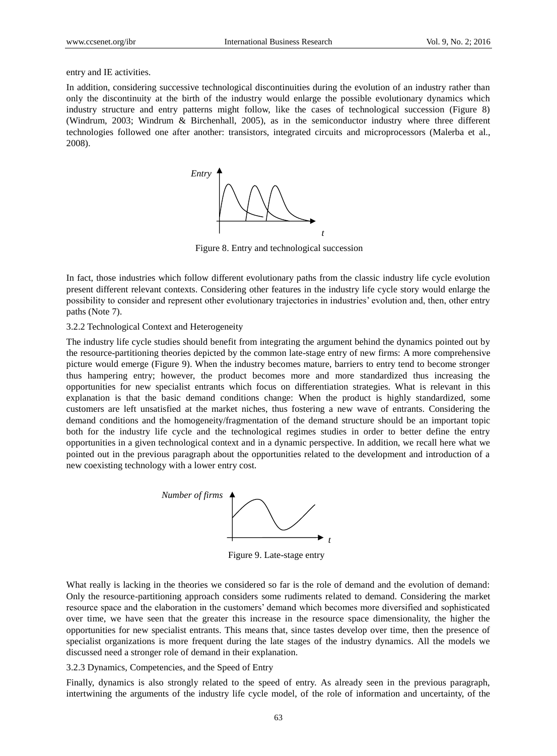entry and IE activities.

In addition, considering successive technological discontinuities during the evolution of an industry rather than only the discontinuity at the birth of the industry would enlarge the possible evolutionary dynamics which industry structure and entry patterns might follow, like the cases of technological succession (Figure 8) (Windrum, 2003; Windrum & Birchenhall, 2005), as in the semiconductor industry where three different technologies followed one after another: transistors, integrated circuits and microprocessors (Malerba et al., 2008).



Figure 8. Entry and technological succession

In fact, those industries which follow different evolutionary paths from the classic industry life cycle evolution present different relevant contexts. Considering other features in the industry life cycle story would enlarge the possibility to consider and represent other evolutionary trajectories in industries' evolution and, then, other entry paths (Note 7).

# 3.2.2 Technological Context and Heterogeneity

The industry life cycle studies should benefit from integrating the argument behind the dynamics pointed out by the resource-partitioning theories depicted by the common late-stage entry of new firms: A more comprehensive picture would emerge (Figure 9). When the industry becomes mature, barriers to entry tend to become stronger thus hampering entry; however, the product becomes more and more standardized thus increasing the opportunities for new specialist entrants which focus on differentiation strategies. What is relevant in this explanation is that the basic demand conditions change: When the product is highly standardized, some customers are left unsatisfied at the market niches, thus fostering a new wave of entrants. Considering the demand conditions and the homogeneity/fragmentation of the demand structure should be an important topic both for the industry life cycle and the technological regimes studies in order to better define the entry opportunities in a given technological context and in a dynamic perspective. In addition, we recall here what we pointed out in the previous paragraph about the opportunities related to the development and introduction of a new coexisting technology with a lower entry cost.



Figure 9. Late-stage entry

What really is lacking in the theories we considered so far is the role of demand and the evolution of demand: Only the resource-partitioning approach considers some rudiments related to demand. Considering the market resource space and the elaboration in the customers' demand which becomes more diversified and sophisticated over time, we have seen that the greater this increase in the resource space dimensionality, the higher the opportunities for new specialist entrants. This means that, since tastes develop over time, then the presence of specialist organizations is more frequent during the late stages of the industry dynamics. All the models we discussed need a stronger role of demand in their explanation.

3.2.3 Dynamics, Competencies, and the Speed of Entry

Finally, dynamics is also strongly related to the speed of entry. As already seen in the previous paragraph, intertwining the arguments of the industry life cycle model, of the role of information and uncertainty, of the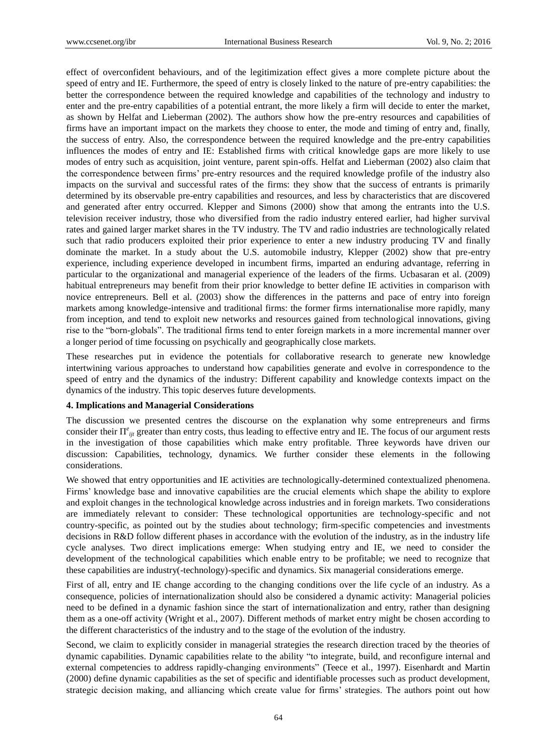effect of overconfident behaviours, and of the legitimization effect gives a more complete picture about the speed of entry and IE. Furthermore, the speed of entry is closely linked to the nature of pre-entry capabilities: the better the correspondence between the required knowledge and capabilities of the technology and industry to enter and the pre-entry capabilities of a potential entrant, the more likely a firm will decide to enter the market, as shown by Helfat and Lieberman (2002). The authors show how the pre-entry resources and capabilities of firms have an important impact on the markets they choose to enter, the mode and timing of entry and, finally, the success of entry. Also, the correspondence between the required knowledge and the pre-entry capabilities influences the modes of entry and IE: Established firms with critical knowledge gaps are more likely to use modes of entry such as acquisition, joint venture, parent spin-offs. Helfat and Lieberman (2002) also claim that the correspondence between firms' pre-entry resources and the required knowledge profile of the industry also impacts on the survival and successful rates of the firms: they show that the success of entrants is primarily determined by its observable pre-entry capabilities and resources, and less by characteristics that are discovered and generated after entry occurred. Klepper and Simons (2000) show that among the entrants into the U.S. television receiver industry, those who diversified from the radio industry entered earlier, had higher survival rates and gained larger market shares in the TV industry. The TV and radio industries are technologically related such that radio producers exploited their prior experience to enter a new industry producing TV and finally dominate the market. In a study about the U.S. automobile industry, Klepper (2002) show that pre-entry experience, including experience developed in incumbent firms, imparted an enduring advantage, referring in particular to the organizational and managerial experience of the leaders of the firms. Ucbasaran et al. (2009) habitual entrepreneurs may benefit from their prior knowledge to better define IE activities in comparison with novice entrepreneurs. Bell et al. (2003) show the differences in the patterns and pace of entry into foreign markets among knowledge-intensive and traditional firms: the former firms internationalise more rapidly, many from inception, and tend to exploit new networks and resources gained from technological innovations, giving rise to the "born-globals". The traditional firms tend to enter foreign markets in a more incremental manner over a longer period of time focussing on psychically and geographically close markets.

These researches put in evidence the potentials for collaborative research to generate new knowledge intertwining various approaches to understand how capabilities generate and evolve in correspondence to the speed of entry and the dynamics of the industry: Different capability and knowledge contexts impact on the dynamics of the industry. This topic deserves future developments.

# **4. Implications and Managerial Considerations**

The discussion we presented centres the discourse on the explanation why some entrepreneurs and firms consider their Π *e ijt* greater than entry costs, thus leading to effective entry and IE. The focus of our argument rests in the investigation of those capabilities which make entry profitable. Three keywords have driven our discussion: Capabilities, technology, dynamics. We further consider these elements in the following considerations.

We showed that entry opportunities and IE activities are technologically-determined contextualized phenomena. Firms' knowledge base and innovative capabilities are the crucial elements which shape the ability to explore and exploit changes in the technological knowledge across industries and in foreign markets. Two considerations are immediately relevant to consider: These technological opportunities are technology-specific and not country-specific, as pointed out by the studies about technology; firm-specific competencies and investments decisions in R&D follow different phases in accordance with the evolution of the industry, as in the industry life cycle analyses. Two direct implications emerge: When studying entry and IE, we need to consider the development of the technological capabilities which enable entry to be profitable; we need to recognize that these capabilities are industry(-technology)-specific and dynamics. Six managerial considerations emerge.

First of all, entry and IE change according to the changing conditions over the life cycle of an industry. As a consequence, policies of internationalization should also be considered a dynamic activity: Managerial policies need to be defined in a dynamic fashion since the start of internationalization and entry, rather than designing them as a one-off activity (Wright et al., 2007). Different methods of market entry might be chosen according to the different characteristics of the industry and to the stage of the evolution of the industry.

Second, we claim to explicitly consider in managerial strategies the research direction traced by the theories of dynamic capabilities. Dynamic capabilities relate to the ability "to integrate, build, and reconfigure internal and external competencies to address rapidly-changing environments" (Teece et al., 1997). Eisenhardt and Martin (2000) define dynamic capabilities as the set of specific and identifiable processes such as product development, strategic decision making, and alliancing which create value for firms' strategies. The authors point out how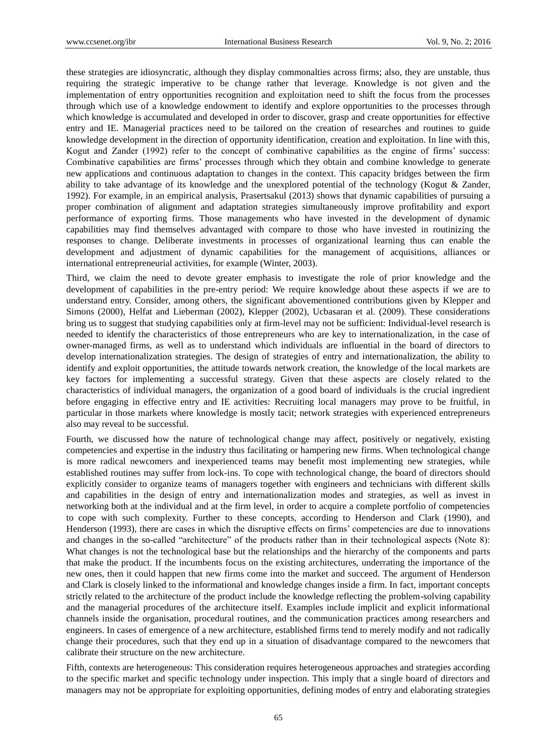these strategies are idiosyncratic, although they display commonalties across firms; also, they are unstable, thus requiring the strategic imperative to be change rather that leverage. Knowledge is not given and the implementation of entry opportunities recognition and exploitation need to shift the focus from the processes through which use of a knowledge endowment to identify and explore opportunities to the processes through which knowledge is accumulated and developed in order to discover, grasp and create opportunities for effective entry and IE. Managerial practices need to be tailored on the creation of researches and routines to guide knowledge development in the direction of opportunity identification, creation and exploitation. In line with this, Kogut and Zander (1992) refer to the concept of combinative capabilities as the engine of firms' success: Combinative capabilities are firms' processes through which they obtain and combine knowledge to generate new applications and continuous adaptation to changes in the context. This capacity bridges between the firm ability to take advantage of its knowledge and the unexplored potential of the technology (Kogut & Zander, 1992). For example, in an empirical analysis, Prasertsakul (2013) shows that dynamic capabilities of pursuing a proper combination of alignment and adaptation strategies simultaneously improve profitability and export performance of exporting firms. Those managements who have invested in the development of dynamic capabilities may find themselves advantaged with compare to those who have invested in routinizing the responses to change. Deliberate investments in processes of organizational learning thus can enable the development and adjustment of dynamic capabilities for the management of acquisitions, alliances or international entrepreneurial activities, for example (Winter, 2003).

Third, we claim the need to devote greater emphasis to investigate the role of prior knowledge and the development of capabilities in the pre-entry period: We require knowledge about these aspects if we are to understand entry. Consider, among others, the significant abovementioned contributions given by Klepper and Simons (2000), Helfat and Lieberman (2002), Klepper (2002), Ucbasaran et al. (2009). These considerations bring us to suggest that studying capabilities only at firm-level may not be sufficient: Individual-level research is needed to identify the characteristics of those entrepreneurs who are key to internationalization, in the case of owner-managed firms, as well as to understand which individuals are influential in the board of directors to develop internationalization strategies. The design of strategies of entry and internationalization, the ability to identify and exploit opportunities, the attitude towards network creation, the knowledge of the local markets are key factors for implementing a successful strategy. Given that these aspects are closely related to the characteristics of individual managers, the organization of a good board of individuals is the crucial ingredient before engaging in effective entry and IE activities: Recruiting local managers may prove to be fruitful, in particular in those markets where knowledge is mostly tacit; network strategies with experienced entrepreneurs also may reveal to be successful.

Fourth, we discussed how the nature of technological change may affect, positively or negatively, existing competencies and expertise in the industry thus facilitating or hampering new firms. When technological change is more radical newcomers and inexperienced teams may benefit most implementing new strategies, while established routines may suffer from lock-ins. To cope with technological change, the board of directors should explicitly consider to organize teams of managers together with engineers and technicians with different skills and capabilities in the design of entry and internationalization modes and strategies, as well as invest in networking both at the individual and at the firm level, in order to acquire a complete portfolio of competencies to cope with such complexity. Further to these concepts, according to Henderson and Clark (1990), and Henderson (1993), there are cases in which the disruptive effects on firms' competencies are due to innovations and changes in the so-called "architecture" of the products rather than in their technological aspects (Note 8): What changes is not the technological base but the relationships and the hierarchy of the components and parts that make the product. If the incumbents focus on the existing architectures, underrating the importance of the new ones, then it could happen that new firms come into the market and succeed. The argument of Henderson and Clark is closely linked to the informational and knowledge changes inside a firm. In fact, important concepts strictly related to the architecture of the product include the knowledge reflecting the problem-solving capability and the managerial procedures of the architecture itself. Examples include implicit and explicit informational channels inside the organisation, procedural routines, and the communication practices among researchers and engineers. In cases of emergence of a new architecture, established firms tend to merely modify and not radically change their procedures, such that they end up in a situation of disadvantage compared to the newcomers that calibrate their structure on the new architecture.

Fifth, contexts are heterogeneous: This consideration requires heterogeneous approaches and strategies according to the specific market and specific technology under inspection. This imply that a single board of directors and managers may not be appropriate for exploiting opportunities, defining modes of entry and elaborating strategies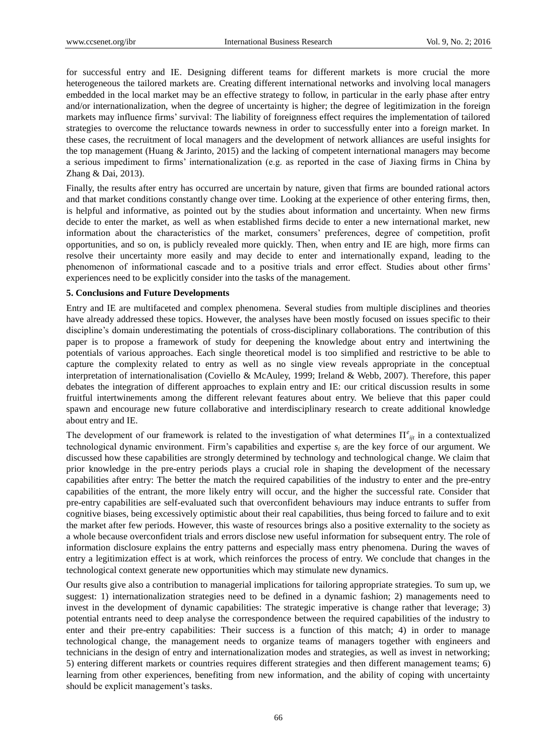for successful entry and IE. Designing different teams for different markets is more crucial the more heterogeneous the tailored markets are. Creating different international networks and involving local managers embedded in the local market may be an effective strategy to follow, in particular in the early phase after entry and/or internationalization, when the degree of uncertainty is higher; the degree of legitimization in the foreign markets may influence firms' survival: The liability of foreignness effect requires the implementation of tailored strategies to overcome the reluctance towards newness in order to successfully enter into a foreign market. In these cases, the recruitment of local managers and the development of network alliances are useful insights for the top management (Huang & Jarinto, 2015) and the lacking of competent international managers may become a serious impediment to firms' internationalization (e.g. as reported in the case of Jiaxing firms in China by Zhang & Dai, 2013).

Finally, the results after entry has occurred are uncertain by nature, given that firms are bounded rational actors and that market conditions constantly change over time. Looking at the experience of other entering firms, then, is helpful and informative, as pointed out by the studies about information and uncertainty. When new firms decide to enter the market, as well as when established firms decide to enter a new international market, new information about the characteristics of the market, consumers' preferences, degree of competition, profit opportunities, and so on, is publicly revealed more quickly. Then, when entry and IE are high, more firms can resolve their uncertainty more easily and may decide to enter and internationally expand, leading to the phenomenon of informational cascade and to a positive trials and error effect. Studies about other firms' experiences need to be explicitly consider into the tasks of the management.

#### **5. Conclusions and Future Developments**

Entry and IE are multifaceted and complex phenomena. Several studies from multiple disciplines and theories have already addressed these topics. However, the analyses have been mostly focused on issues specific to their discipline's domain underestimating the potentials of cross-disciplinary collaborations. The contribution of this paper is to propose a framework of study for deepening the knowledge about entry and intertwining the potentials of various approaches. Each single theoretical model is too simplified and restrictive to be able to capture the complexity related to entry as well as no single view reveals appropriate in the conceptual interpretation of internationalisation (Coviello & McAuley, 1999; Ireland & Webb, 2007). Therefore, this paper debates the integration of different approaches to explain entry and IE: our critical discussion results in some fruitful intertwinements among the different relevant features about entry. We believe that this paper could spawn and encourage new future collaborative and interdisciplinary research to create additional knowledge about entry and IE.

The development of our framework is related to the investigation of what determines  $\prod_{i}^{e}$  in a contextualized technological dynamic environment. Firm's capabilities and expertise  $s_i$  are the key force of our argument. We discussed how these capabilities are strongly determined by technology and technological change. We claim that prior knowledge in the pre-entry periods plays a crucial role in shaping the development of the necessary capabilities after entry: The better the match the required capabilities of the industry to enter and the pre-entry capabilities of the entrant, the more likely entry will occur, and the higher the successful rate. Consider that pre-entry capabilities are self-evaluated such that overconfident behaviours may induce entrants to suffer from cognitive biases, being excessively optimistic about their real capabilities, thus being forced to failure and to exit the market after few periods. However, this waste of resources brings also a positive externality to the society as a whole because overconfident trials and errors disclose new useful information for subsequent entry. The role of information disclosure explains the entry patterns and especially mass entry phenomena. During the waves of entry a legitimization effect is at work, which reinforces the process of entry. We conclude that changes in the technological context generate new opportunities which may stimulate new dynamics.

Our results give also a contribution to managerial implications for tailoring appropriate strategies. To sum up, we suggest: 1) internationalization strategies need to be defined in a dynamic fashion; 2) managements need to invest in the development of dynamic capabilities: The strategic imperative is change rather that leverage; 3) potential entrants need to deep analyse the correspondence between the required capabilities of the industry to enter and their pre-entry capabilities: Their success is a function of this match; 4) in order to manage technological change, the management needs to organize teams of managers together with engineers and technicians in the design of entry and internationalization modes and strategies, as well as invest in networking; 5) entering different markets or countries requires different strategies and then different management teams; 6) learning from other experiences, benefiting from new information, and the ability of coping with uncertainty should be explicit management's tasks.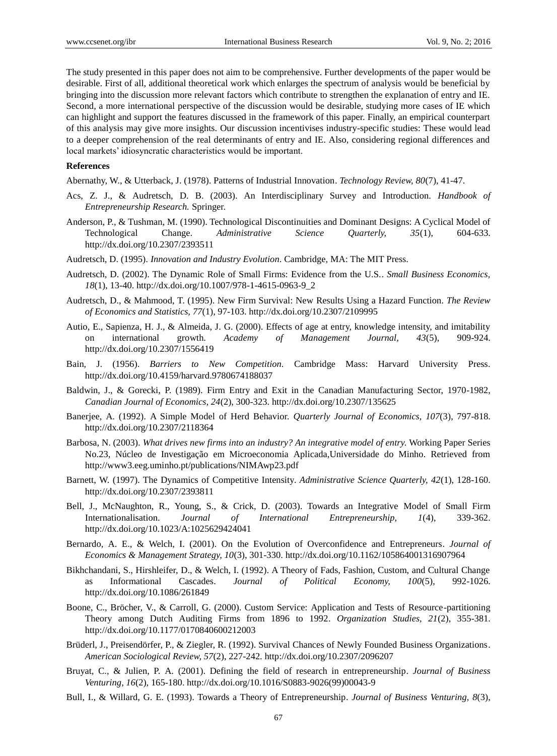The study presented in this paper does not aim to be comprehensive. Further developments of the paper would be desirable. First of all, additional theoretical work which enlarges the spectrum of analysis would be beneficial by bringing into the discussion more relevant factors which contribute to strengthen the explanation of entry and IE. Second, a more international perspective of the discussion would be desirable, studying more cases of IE which can highlight and support the features discussed in the framework of this paper. Finally, an empirical counterpart of this analysis may give more insights. Our discussion incentivises industry-specific studies: These would lead to a deeper comprehension of the real determinants of entry and IE. Also, considering regional differences and local markets' idiosyncratic characteristics would be important.

# **References**

Abernathy, W., & Utterback, J. (1978). Patterns of Industrial Innovation. *Technology Review, 80*(7), 41-47.

- Acs, Z. J., & Audretsch, D. B. (2003). An Interdisciplinary Survey and Introduction. *Handbook of Entrepreneurship Research.* Springer.
- Anderson, P., & Tushman, M. (1990). Technological Discontinuities and Dominant Designs: A Cyclical Model of Technological Change. *Administrative Science Quarterly, 35*(1), 604-633. http://dx.doi.org/10.2307/2393511
- Audretsch, D. (1995). *Innovation and Industry Evolution.* Cambridge, MA: The MIT Press.
- Audretsch, D. (2002). The Dynamic Role of Small Firms: Evidence from the U.S.. *Small Business Economics, 18*(1), 13-40. http://dx.doi.org/10.1007/978-1-4615-0963-9\_2
- Audretsch, D., & Mahmood, T. (1995). New Firm Survival: New Results Using a Hazard Function. *The Review of Economics and Statistics, 77*(1), 97-103. http://dx.doi.org/10.2307/2109995
- Autio, E., Sapienza, H. J., & Almeida, J. G. (2000). Effects of age at entry, knowledge intensity, and imitability on international growth. *Academy of Management Journal, 43*(5), 909-924. http://dx.doi.org/10.2307/1556419
- Bain, J. (1956). *Barriers to New Competition.* Cambridge Mass: Harvard University Press. http://dx.doi.org/10.4159/harvard.9780674188037
- Baldwin, J., & Gorecki, P. (1989). Firm Entry and Exit in the Canadian Manufacturing Sector, 1970-1982, *Canadian Journal of Economics, 24*(2), 300-323. http://dx.doi.org/10.2307/135625
- Banerjee, A. (1992). A Simple Model of Herd Behavior. *Quarterly Journal of Economics, 107*(3), 797-818. http://dx.doi.org/10.2307/2118364
- Barbosa, N. (2003). *What drives new firms into an industry? An integrative model of entry.* Working Paper Series No.23, Núcleo de Investigação em Microeconomia Aplicada,Universidade do Minho. Retrieved from http://www3.eeg.uminho.pt/publications/NIMAwp23.pdf
- Barnett, W. (1997). The Dynamics of Competitive Intensity. *Administrative Science Quarterly, 42*(1), 128-160. http://dx.doi.org/10.2307/2393811
- Bell, J., McNaughton, R., Young, S., & Crick, D. (2003). Towards an Integrative Model of Small Firm Internationalisation. *Journal of International Entrepreneurship, 1*(4), 339-362. http://dx.doi.org/10.1023/A:1025629424041
- Bernardo, A. E., & Welch, I. (2001). On the Evolution of Overconfidence and Entrepreneurs. *Journal of Economics & Management Strategy, 10*(3), 301-330. http://dx.doi.org/10.1162/105864001316907964
- Bikhchandani, S., Hirshleifer, D., & Welch, I. (1992). A Theory of Fads, Fashion, Custom, and Cultural Change as Informational Cascades. *Journal of Political Economy, 100*(5), 992-1026. http://dx.doi.org/10.1086/261849
- Boone, C., Bröcher, V., & Carroll, G. (2000). Custom Service: Application and Tests of Resource-partitioning Theory among Dutch Auditing Firms from 1896 to 1992. *Organization Studies, 21*(2), 355-381. http://dx.doi.org/10.1177/0170840600212003
- Brüderl, J., Preisendörfer, P., & Ziegler, R. (1992). Survival Chances of Newly Founded Business Organizations. *American Sociological Review, 57*(2), 227-242. http://dx.doi.org/10.2307/2096207
- Bruyat, C., & Julien, P. A. (2001). Defining the field of research in entrepreneurship. *Journal of Business Venturing, 16*(2), 165-180. http://dx.doi.org/10.1016/S0883-9026(99)00043-9
- Bull, I., & Willard, G. E. (1993). Towards a Theory of Entrepreneurship. *Journal of Business Venturing, 8*(3),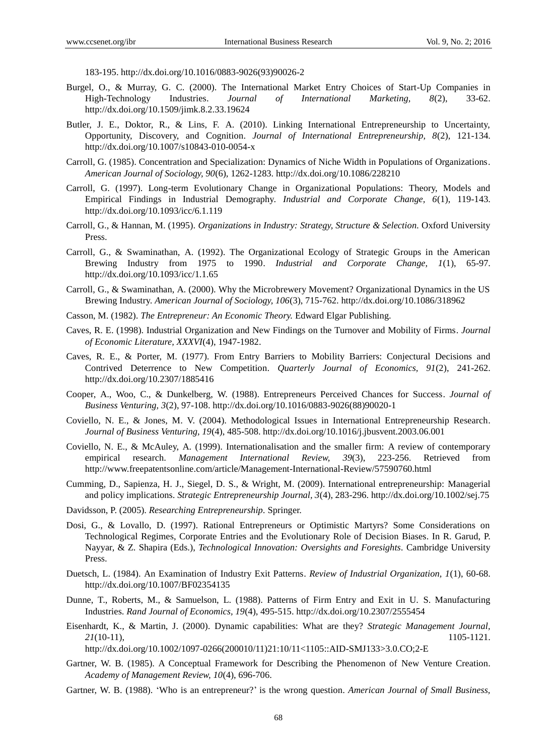183-195. http://dx.doi.org/10.1016/0883-9026(93)90026-2

- Burgel, O., & Murray, G. C. (2000). The International Market Entry Choices of Start-Up Companies in High-Technology Industries. *Journal of International Marketing, 8*(2), 33-62. http://dx.doi.org/10.1509/jimk.8.2.33.19624
- Butler, J. E., Doktor, R., & Lins, F. A. (2010). Linking International Entrepreneurship to Uncertainty, Opportunity, Discovery, and Cognition. *Journal of International Entrepreneurship, 8*(2), 121-134. http://dx.doi.org/10.1007/s10843-010-0054-x
- Carroll, G. (1985). Concentration and Specialization: Dynamics of Niche Width in Populations of Organizations. *American Journal of Sociology, 90*(6), 1262-1283. http://dx.doi.org/10.1086/228210
- Carroll, G. (1997). Long-term Evolutionary Change in Organizational Populations: Theory, Models and Empirical Findings in Industrial Demography. *Industrial and Corporate Change, 6*(1), 119-143. http://dx.doi.org/10.1093/icc/6.1.119
- Carroll, G., & Hannan, M. (1995). *Organizations in Industry: Strategy, Structure & Selection.* Oxford University Press.
- Carroll, G., & Swaminathan, A. (1992). The Organizational Ecology of Strategic Groups in the American Brewing Industry from 1975 to 1990. *Industrial and Corporate Change, 1*(1), 65-97. http://dx.doi.org/10.1093/icc/1.1.65
- Carroll, G., & Swaminathan, A. (2000). Why the Microbrewery Movement? Organizational Dynamics in the US Brewing Industry. *American Journal of Sociology, 106*(3), 715-762. http://dx.doi.org/10.1086/318962
- Casson, M. (1982). *The Entrepreneur: An Economic Theory.* Edward Elgar Publishing.
- Caves, R. E. (1998). Industrial Organization and New Findings on the Turnover and Mobility of Firms. *Journal of Economic Literature, XXXVI*(4), 1947-1982.
- Caves, R. E., & Porter, M. (1977). From Entry Barriers to Mobility Barriers: Conjectural Decisions and Contrived Deterrence to New Competition. *Quarterly Journal of Economics, 91*(2), 241-262. http://dx.doi.org/10.2307/1885416
- Cooper, A., Woo, C., & Dunkelberg, W. (1988). Entrepreneurs Perceived Chances for Success. *Journal of Business Venturing, 3*(2), 97-108. http://dx.doi.org/10.1016/0883-9026(88)90020-1
- Coviello, N. E., & Jones, M. V. (2004). Methodological Issues in International Entrepreneurship Research. *Journal of Business Venturing, 19*(4), 485-508. http://dx.doi.org/10.1016/j.jbusvent.2003.06.001
- Coviello, N. E., & McAuley, A. (1999). Internationalisation and the smaller firm: A review of contemporary empirical research. *Management International Review, 39*(3), 223-256. Retrieved from http://www.freepatentsonline.com/article/Management-International-Review/57590760.html
- Cumming, D., Sapienza, H. J., Siegel, D. S., & Wright, M. (2009). International entrepreneurship: Managerial and policy implications. *Strategic Entrepreneurship Journal, 3*(4), 283-296. http://dx.doi.org/10.1002/sej.75
- Davidsson, P. (2005). *Researching Entrepreneurship.* Springer.
- Dosi, G., & Lovallo, D. (1997). Rational Entrepreneurs or Optimistic Martyrs? Some Considerations on Technological Regimes, Corporate Entries and the Evolutionary Role of Decision Biases. In R. Garud, P. Nayyar, & Z. Shapira (Eds.), *Technological Innovation: Oversights and Foresights.* Cambridge University Press.
- Duetsch, L. (1984). An Examination of Industry Exit Patterns. *Review of Industrial Organization, 1*(1), 60-68. http://dx.doi.org/10.1007/BF02354135
- Dunne, T., Roberts, M., & Samuelson, L. (1988). Patterns of Firm Entry and Exit in U. S. Manufacturing Industries. *Rand Journal of Economics, 19*(4), 495-515. http://dx.doi.org/10.2307/2555454
- Eisenhardt, K., & Martin, J. (2000). Dynamic capabilities: What are they? *Strategic Management Journal, 21*(10-11), 1105-1121.

http://dx.doi.org/10.1002/1097-0266(200010/11)21:10/11<1105::AID-SMJ133>3.0.CO;2-E

- Gartner, W. B. (1985). A Conceptual Framework for Describing the Phenomenon of New Venture Creation. *Academy of Management Review, 10*(4), 696-706.
- Gartner, W. B. (1988). 'Who is an entrepreneur?' is the wrong question. *American Journal of Small Business,*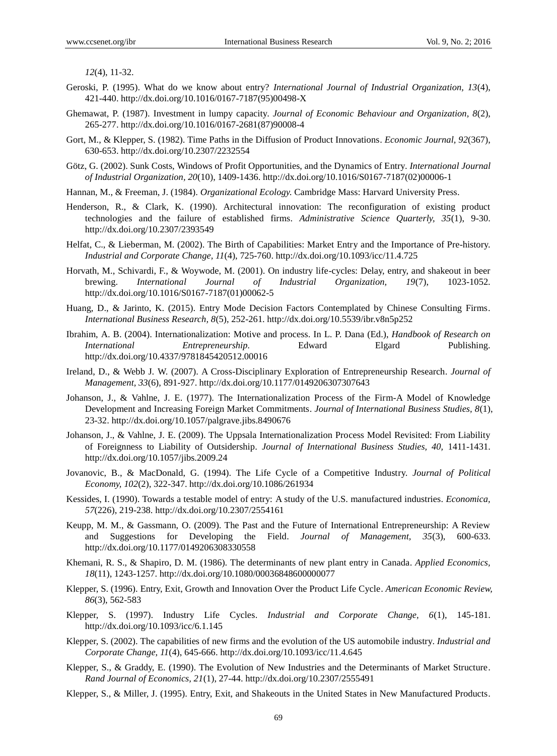*12*(4), 11-32.

- Geroski, P. (1995). What do we know about entry? *International Journal of Industrial Organization, 13*(4), 421-440. http://dx.doi.org/10.1016/0167-7187(95)00498-X
- Ghemawat, P. (1987). Investment in lumpy capacity. *Journal of Economic Behaviour and Organization, 8*(2), 265-277. http://dx.doi.org/10.1016/0167-2681(87)90008-4
- Gort, M., & Klepper, S. (1982). Time Paths in the Diffusion of Product Innovations. *Economic Journal, 92*(367), 630-653. http://dx.doi.org/10.2307/2232554
- Götz, G. (2002). Sunk Costs, Windows of Profit Opportunities, and the Dynamics of Entry. *International Journal of Industrial Organization, 20*(10), 1409-1436. http://dx.doi.org/10.1016/S0167-7187(02)00006-1
- Hannan, M., & Freeman, J. (1984). *Organizational Ecology.* Cambridge Mass: Harvard University Press.
- Henderson, R., & Clark, K. (1990). Architectural innovation: The reconfiguration of existing product technologies and the failure of established firms. *Administrative Science Quarterly, 35*(1), 9-30. http://dx.doi.org/10.2307/2393549
- Helfat, C., & Lieberman, M. (2002). The Birth of Capabilities: Market Entry and the Importance of Pre-history. *Industrial and Corporate Change, 11*(4), 725-760. http://dx.doi.org/10.1093/icc/11.4.725
- Horvath, M., Schivardi, F., & Woywode, M. (2001). On industry life-cycles: Delay, entry, and shakeout in beer brewing. *International Journal of Industrial Organization, 19*(7), 1023-1052. http://dx.doi.org/10.1016/S0167-7187(01)00062-5
- Huang, D., & Jarinto, K. (2015). Entry Mode Decision Factors Contemplated by Chinese Consulting Firms. *International Business Research, 8*(5), 252-261. http://dx.doi.org/10.5539/ibr.v8n5p252
- Ibrahim, A. B. (2004). Internationalization: Motive and process. In L. P. Dana (Ed.), *Handbook of Research on International Entrepreneurship.* Edward Elgard Publishing. http://dx.doi.org/10.4337/9781845420512.00016
- Ireland, D., & Webb J. W. (2007). A Cross-Disciplinary Exploration of Entrepreneurship Research. *Journal of Management, 33*(6), 891-927. http://dx.doi.org/10.1177/0149206307307643
- Johanson, J., & Vahlne, J. E. (1977). The Internationalization Process of the Firm-A Model of Knowledge Development and Increasing Foreign Market Commitments. *Journal of International Business Studies, 8*(1), 23-32. http://dx.doi.org/10.1057/palgrave.jibs.8490676
- Johanson, J., & Vahlne, J. E. (2009). The Uppsala Internationalization Process Model Revisited: From Liability of Foreignness to Liability of Outsidership. *Journal of International Business Studies, 40,* 1411-1431. http://dx.doi.org/10.1057/jibs.2009.24
- Jovanovic, B., & MacDonald, G. (1994). The Life Cycle of a Competitive Industry. *Journal of Political Economy, 102*(2), 322-347. http://dx.doi.org/10.1086/261934
- Kessides, I. (1990). Towards a testable model of entry: A study of the U.S. manufactured industries. *Economica, 57*(226), 219-238. http://dx.doi.org/10.2307/2554161
- Keupp, M. M., & Gassmann, O. (2009). The Past and the Future of International Entrepreneurship: A Review and Suggestions for Developing the Field. *Journal of Management, 35*(3), 600-633. http://dx.doi.org/10.1177/0149206308330558
- Khemani, R. S., & Shapiro, D. M. (1986). The determinants of new plant entry in Canada. *Applied Economics, 18*(11), 1243-1257. http://dx.doi.org/10.1080/00036848600000077
- Klepper, S. (1996). Entry, Exit, Growth and Innovation Over the Product Life Cycle. *American Economic Review, 86*(3), 562-583
- Klepper, S. (1997). Industry Life Cycles. *Industrial and Corporate Change, 6*(1), 145-181. http://dx.doi.org/10.1093/icc/6.1.145
- Klepper, S. (2002). The capabilities of new firms and the evolution of the US automobile industry. *Industrial and Corporate Change, 11*(4), 645-666. http://dx.doi.org/10.1093/icc/11.4.645
- Klepper, S., & Graddy, E. (1990). The Evolution of New Industries and the Determinants of Market Structure. *Rand Journal of Economics, 21*(1), 27-44. http://dx.doi.org/10.2307/2555491
- Klepper, S., & Miller, J. (1995). Entry, Exit, and Shakeouts in the United States in New Manufactured Products.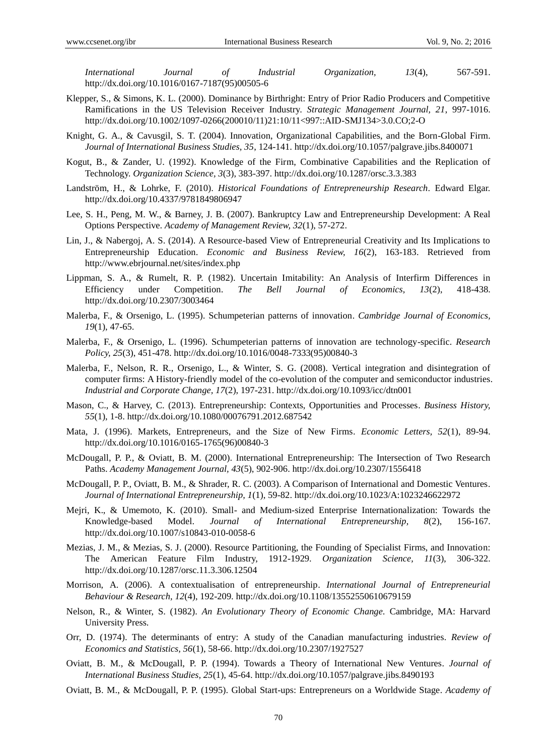*International Journal of Industrial Organization, 13*(4), 567-591. http://dx.doi.org/10.1016/0167-7187(95)00505-6

- Klepper, S., & Simons, K. L. (2000). Dominance by Birthright: Entry of Prior Radio Producers and Competitive Ramifications in the US Television Receiver Industry. *Strategic Management Journal, 21*, 997-1016. http://dx.doi.org/10.1002/1097-0266(200010/11)21:10/11<997::AID-SMJ134>3.0.CO;2-O
- Knight, G. A., & Cavusgil, S. T. (2004). Innovation, Organizational Capabilities, and the Born-Global Firm. *Journal of International Business Studies, 35*, 124-141. http://dx.doi.org/10.1057/palgrave.jibs.8400071
- Kogut, B., & Zander, U. (1992). Knowledge of the Firm, Combinative Capabilities and the Replication of Technology. *Organization Science, 3*(3), 383-397. http://dx.doi.org/10.1287/orsc.3.3.383
- Landström, H., & Lohrke, F. (2010). *Historical Foundations of Entrepreneurship Research.* Edward Elgar. http://dx.doi.org/10.4337/9781849806947
- Lee, S. H., Peng, M. W., & Barney, J. B. (2007). Bankruptcy Law and Entrepreneurship Development: A Real Options Perspective. *Academy of Management Review, 32*(1), 57-272.
- Lin, J., & Nabergoj, A. S. (2014). A Resource-based View of Entrepreneurial Creativity and Its Implications to Entrepreneurship Education. *Economic and Business Review, 16*(2), 163-183. Retrieved from http://www.ebrjournal.net/sites/index.php
- Lippman, S. A., & Rumelt, R. P. (1982). Uncertain Imitability: An Analysis of Interfirm Differences in Efficiency under Competition. *The Bell Journal of Economics, 13*(2), 418-438. http://dx.doi.org/10.2307/3003464
- Malerba, F., & Orsenigo, L. (1995). Schumpeterian patterns of innovation. *Cambridge Journal of Economics, 19*(1), 47-65.
- Malerba, F., & Orsenigo, L. (1996). Schumpeterian patterns of innovation are technology-specific. *Research Policy, 25*(3), 451-478. http://dx.doi.org/10.1016/0048-7333(95)00840-3
- Malerba, F., Nelson, R. R., Orsenigo, L., & Winter, S. G. (2008). Vertical integration and disintegration of computer firms: A History-friendly model of the co-evolution of the computer and semiconductor industries. *Industrial and Corporate Change, 17*(2), 197-231. http://dx.doi.org/10.1093/icc/dtn001
- Mason, C., & Harvey, C. (2013). Entrepreneurship: Contexts, Opportunities and Processes. *Business History, 55*(1), 1-8. http://dx.doi.org/10.1080/00076791.2012.687542
- Mata, J. (1996). Markets, Entrepreneurs, and the Size of New Firms. *Economic Letters, 52*(1), 89-94. http://dx.doi.org/10.1016/0165-1765(96)00840-3
- McDougall, P. P., & Oviatt, B. M. (2000). International Entrepreneurship: The Intersection of Two Research Paths. *Academy Management Journal, 43*(5), 902-906. http://dx.doi.org/10.2307/1556418
- McDougall, P. P., Oviatt, B. M., & Shrader, R. C. (2003). A Comparison of International and Domestic Ventures. *Journal of International Entrepreneurship, 1*(1), 59-82. http://dx.doi.org/10.1023/A:1023246622972
- Mejri, K., & Umemoto, K. (2010). Small- and Medium-sized Enterprise Internationalization: Towards the Knowledge-based Model. *Journal of International Entrepreneurship, 8*(2), 156-167. http://dx.doi.org/10.1007/s10843-010-0058-6
- Mezias, J. M., & Mezias, S. J. (2000). Resource Partitioning, the Founding of Specialist Firms, and Innovation: The American Feature Film Industry, 1912-1929. *Organization Science, 11*(3), 306-322. http://dx.doi.org/10.1287/orsc.11.3.306.12504
- Morrison, A. (2006). A contextualisation of entrepreneurship. *International Journal of Entrepreneurial Behaviour & Research, 12*(4), 192-209. http://dx.doi.org/10.1108/13552550610679159
- Nelson, R., & Winter, S. (1982). *An Evolutionary Theory of Economic Change.* Cambridge, MA: Harvard University Press.
- Orr, D. (1974). The determinants of entry: A study of the Canadian manufacturing industries. *Review of Economics and Statistics, 56*(1), 58-66. http://dx.doi.org/10.2307/1927527
- Oviatt, B. M., & McDougall, P. P. (1994). Towards a Theory of International New Ventures. *Journal of International Business Studies, 25*(1), 45-64. http://dx.doi.org/10.1057/palgrave.jibs.8490193
- Oviatt, B. M., & McDougall, P. P. (1995). Global Start-ups: Entrepreneurs on a Worldwide Stage. *Academy of*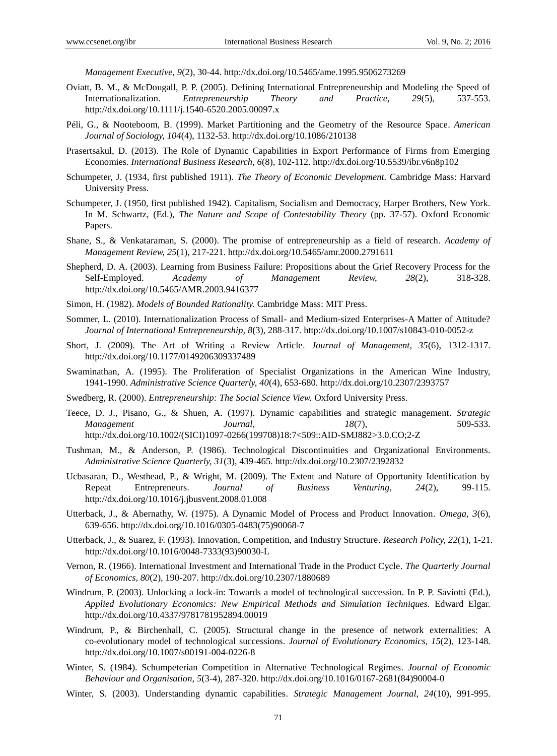*Management Executive, 9*(2), 30-44. http://dx.doi.org/10.5465/ame.1995.9506273269

- Oviatt, B. M., & McDougall, P. P. (2005). Defining International Entrepreneurship and Modeling the Speed of Internationalization. *Entrepreneurship Theory and Practice, 29*(5), 537-553. http://dx.doi.org/10.1111/j.1540-6520.2005.00097.x
- Péli, G., & Nooteboom, B. (1999). Market Partitioning and the Geometry of the Resource Space. *American Journal of Sociology, 104*(4), 1132-53. http://dx.doi.org/10.1086/210138
- Prasertsakul, D. (2013). The Role of Dynamic Capabilities in Export Performance of Firms from Emerging Economies. *International Business Research, 6*(8), 102-112. http://dx.doi.org/10.5539/ibr.v6n8p102
- Schumpeter, J. (1934, first published 1911). *The Theory of Economic Development.* Cambridge Mass: Harvard University Press.
- Schumpeter, J. (1950, first published 1942). Capitalism, Socialism and Democracy, Harper Brothers, New York. In M. Schwartz, (Ed.), *The Nature and Scope of Contestability Theory* (pp. 37-57). Oxford Economic Papers.
- Shane, S., & Venkataraman, S. (2000). The promise of entrepreneurship as a field of research. *Academy of Management Review, 25*(1), 217-221. http://dx.doi.org/10.5465/amr.2000.2791611
- Shepherd, D. A. (2003). Learning from Business Failure: Propositions about the Grief Recovery Process for the Self-Employed. *Academy of Management Review, 28*(2), 318-328. http://dx.doi.org/10.5465/AMR.2003.9416377
- Simon, H. (1982). *Models of Bounded Rationality.* Cambridge Mass: MIT Press.
- Sommer, L. (2010). Internationalization Process of Small- and Medium-sized Enterprises-A Matter of Attitude? *Journal of International Entrepreneurship, 8*(3), 288-317. http://dx.doi.org/10.1007/s10843-010-0052-z
- Short, J. (2009). The Art of Writing a Review Article. *Journal of Management, 35*(6), 1312-1317. http://dx.doi.org/10.1177/0149206309337489
- Swaminathan, A. (1995). The Proliferation of Specialist Organizations in the American Wine Industry, 1941-1990. *Administrative Science Quarterly, 40*(4), 653-680. http://dx.doi.org/10.2307/2393757
- Swedberg, R. (2000). *Entrepreneurship: The Social Science View.* Oxford University Press.
- Teece, D. J., Pisano, G., & Shuen, A. (1997). Dynamic capabilities and strategic management. *Strategic Management Journal, 18*(7), 509-533. http://dx.doi.org/10.1002/(SICI)1097-0266(199708)18:7<509::AID-SMJ882>3.0.CO;2-Z
- Tushman, M., & Anderson, P. (1986). Technological Discontinuities and Organizational Environments. *Administrative Science Quarterly, 31*(3), 439-465. http://dx.doi.org/10.2307/2392832
- Ucbasaran, D., Westhead, P., & Wright, M. (2009). The Extent and Nature of Opportunity Identification by Repeat Entrepreneurs. *Journal of Business Venturing, 24*(2), 99-115. http://dx.doi.org/10.1016/j.jbusvent.2008.01.008
- Utterback, J., & Abernathy, W. (1975). A Dynamic Model of Process and Product Innovation. *Omega, 3*(6), 639-656. http://dx.doi.org/10.1016/0305-0483(75)90068-7
- Utterback, J., & Suarez, F. (1993). Innovation, Competition, and Industry Structure. *Research Policy, 22*(1), 1-21. http://dx.doi.org/10.1016/0048-7333(93)90030-L
- Vernon, R. (1966). International Investment and International Trade in the Product Cycle. *The Quarterly Journal of Economics, 80*(2), 190-207. http://dx.doi.org/10.2307/1880689
- Windrum, P. (2003). Unlocking a lock-in: Towards a model of technological succession. In P. P. Saviotti (Ed.), *Applied Evolutionary Economics: New Empirical Methods and Simulation Techniques.* Edward Elgar. http://dx.doi.org/10.4337/9781781952894.00019
- Windrum, P., & Birchenhall, C. (2005). Structural change in the presence of network externalities: A co-evolutionary model of technological successions. *Journal of Evolutionary Economics, 15*(2), 123-148. http://dx.doi.org/10.1007/s00191-004-0226-8
- Winter, S. (1984). Schumpeterian Competition in Alternative Technological Regimes. *Journal of Economic Behaviour and Organisation, 5*(3-4), 287-320. http://dx.doi.org/10.1016/0167-2681(84)90004-0
- Winter, S. (2003). Understanding dynamic capabilities. *Strategic Management Journal, 24*(10), 991-995.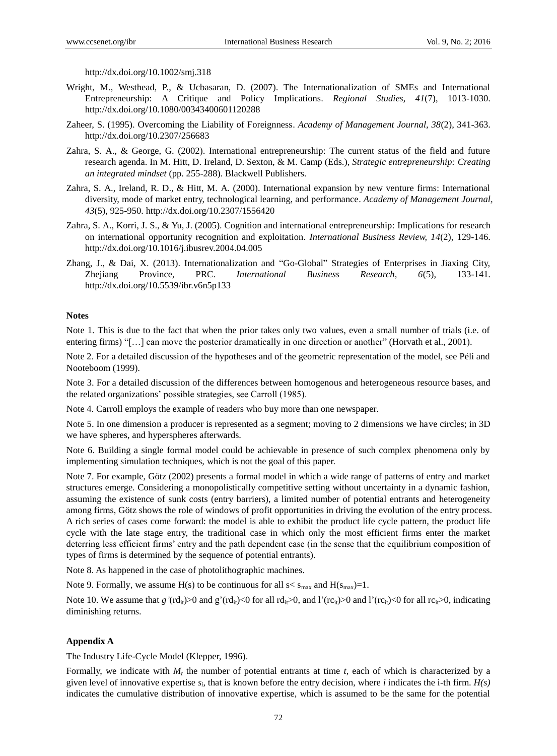http://dx.doi.org/10.1002/smj.318

- Wright, M., Westhead, P., & Ucbasaran, D. (2007). The Internationalization of SMEs and International Entrepreneurship: A Critique and Policy Implications. *Regional Studies, 41*(7), 1013-1030. http://dx.doi.org/10.1080/00343400601120288
- Zaheer, S. (1995). Overcoming the Liability of Foreignness. *Academy of Management Journal, 38*(2), 341-363. http://dx.doi.org/10.2307/256683
- Zahra, S. A., & George, G. (2002). International entrepreneurship: The current status of the field and future research agenda. In M. Hitt, D. Ireland, D. Sexton, & M. Camp (Eds.), *Strategic entrepreneurship: Creating an integrated mindset* (pp. 255-288). Blackwell Publishers.
- Zahra, S. A., Ireland, R. D., & Hitt, M. A. (2000). International expansion by new venture firms: International diversity, mode of market entry, technological learning, and performance. *Academy of Management Journal, 43*(5), 925-950. http://dx.doi.org/10.2307/1556420
- Zahra, S. A., Korri, J. S., & Yu, J. (2005). Cognition and international entrepreneurship: Implications for research on international opportunity recognition and exploitation. *International Business Review, 14*(2), 129-146. http://dx.doi.org/10.1016/j.ibusrev.2004.04.005
- Zhang, J., & Dai, X. (2013). Internationalization and "Go-Global" Strategies of Enterprises in Jiaxing City, Zhejiang Province, PRC. *International Business Research, 6*(5), 133-141. http://dx.doi.org/10.5539/ibr.v6n5p133

# **Notes**

Note 1. This is due to the fact that when the prior takes only two values, even a small number of trials (i.e. of entering firms) "[…] can move the posterior dramatically in one direction or another" (Horvath et al., 2001).

Note 2. For a detailed discussion of the hypotheses and of the geometric representation of the model, see Péli and Nooteboom (1999).

Note 3. For a detailed discussion of the differences between homogenous and heterogeneous resource bases, and the related organizations' possible strategies, see Carroll (1985).

Note 4. Carroll employs the example of readers who buy more than one newspaper.

Note 5. In one dimension a producer is represented as a segment; moving to 2 dimensions we have circles; in 3D we have spheres, and hyperspheres afterwards.

Note 6. Building a single formal model could be achievable in presence of such complex phenomena only by implementing simulation techniques, which is not the goal of this paper.

Note 7. For example, Götz (2002) presents a formal model in which a wide range of patterns of entry and market structures emerge. Considering a monopolistically competitive setting without uncertainty in a dynamic fashion, assuming the existence of sunk costs (entry barriers), a limited number of potential entrants and heterogeneity among firms, Götz shows the role of windows of profit opportunities in driving the evolution of the entry process. A rich series of cases come forward: the model is able to exhibit the product life cycle pattern, the product life cycle with the late stage entry, the traditional case in which only the most efficient firms enter the market deterring less efficient firms' entry and the path dependent case (in the sense that the equilibrium composition of types of firms is determined by the sequence of potential entrants).

Note 8. As happened in the case of photolithographic machines.

Note 9. Formally, we assume H(s) to be continuous for all  $s < s_{max}$  and  $H(s_{max})=1$ .

Note 10. We assume that *g*'(rd<sub>it</sub>)>0 and g'(rd<sub>it</sub>)<0 for all rd<sub>it</sub>>0, and l'(rc<sub>it</sub>)>0 and l'(rc<sub>it</sub>)<0 for all rc<sub>it</sub>>0, indicating diminishing returns.

#### **Appendix A**

The Industry Life-Cycle Model (Klepper, 1996).

Formally, we indicate with  $M_t$  the number of potential entrants at time  $t$ , each of which is characterized by a given level of innovative expertise  $s_i$ , that is known before the entry decision, where *i* indicates the *i*-th firm.  $H(s)$ indicates the cumulative distribution of innovative expertise, which is assumed to be the same for the potential